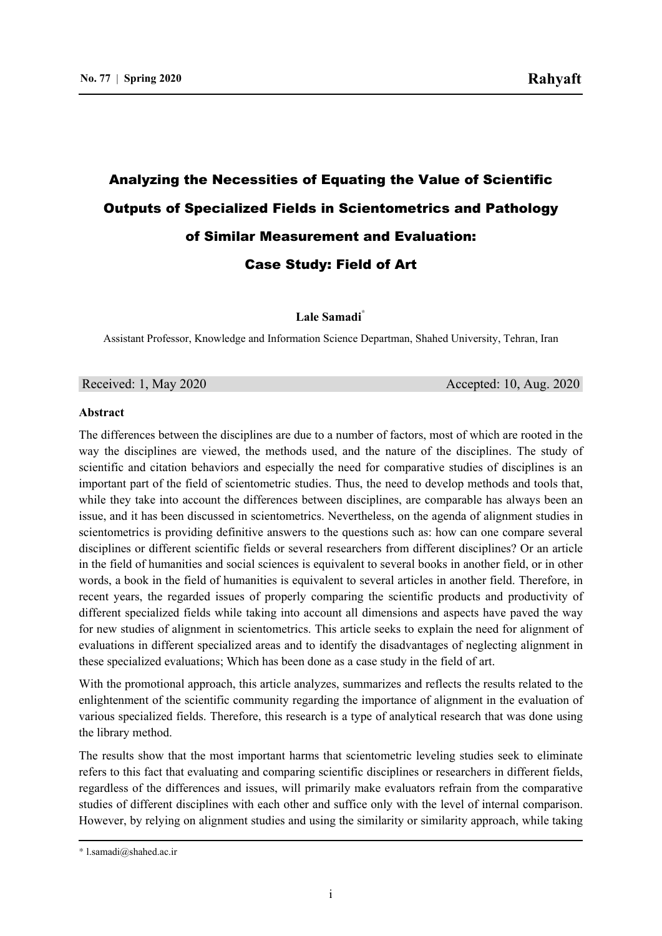# Analyzing the Necessities of Equating the Value of Scientific Outputs of Specialized Fields in Scientometrics and Pathology of Similar Measurement and Evaluation: Case Study: Field of Art

**Lale Samadi\*** 1

Assistant Professor, Knowledge and Information Science Departman, Shahed University, Tehran, Iran

Received: 1, May 2020 **Accepted: 10, Aug. 2020** 

#### **Abstract**

The differences between the disciplines are due to a number of factors, most of which are rooted in the way the disciplines are viewed, the methods used, and the nature of the disciplines. The study of scientific and citation behaviors and especially the need for comparative studies of disciplines is an important part of the field of scientometric studies. Thus, the need to develop methods and tools that, while they take into account the differences between disciplines, are comparable has always been an issue, and it has been discussed in scientometrics. Nevertheless, on the agenda of alignment studies in scientometrics is providing definitive answers to the questions such as: how can one compare several disciplines or different scientific fields or several researchers from different disciplines? Or an article in the field of humanities and social sciences is equivalent to several books in another field, or in other words, a book in the field of humanities is equivalent to several articles in another field. Therefore, in recent years, the regarded issues of properly comparing the scientific products and productivity of different specialized fields while taking into account all dimensions and aspects have paved the way for new studies of alignment in scientometrics. This article seeks to explain the need for alignment of evaluations in different specialized areas and to identify the disadvantages of neglecting alignment in these specialized evaluations; Which has been done as a case study in the field of art.

With the promotional approach, this article analyzes, summarizes and reflects the results related to the enlightenment of the scientific community regarding the importance of alignment in the evaluation of various specialized fields. Therefore, this research is a type of analytical research that was done using the library method.

The results show that the most important harms that scientometric leveling studies seek to eliminate refers to this fact that evaluating and comparing scientific disciplines or researchers in different fields, regardless of the differences and issues, will primarily make evaluators refrain from the comparative studies of different disciplines with each other and suffice only with the level of internal comparison. However, by relying on alignment studies and using the similarity or similarity approach, while taking

<u> 1989 - Johann Stoff, amerikansk politiker (d. 1989)</u>

<sup>\*</sup> l.samadi@shahed.ac.ir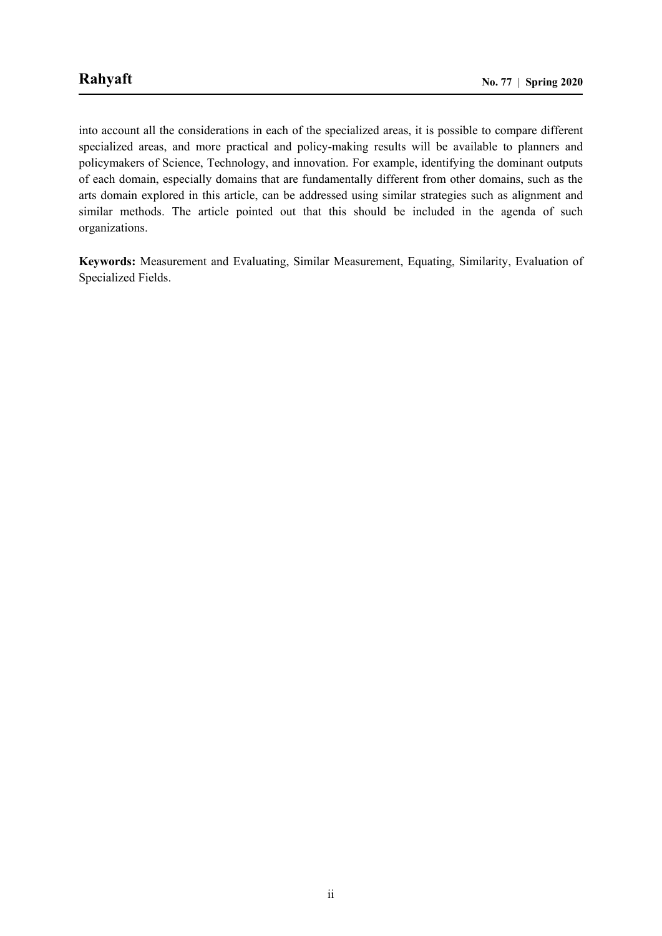into account all the considerations in each of the specialized areas, it is possible to compare different specialized areas, and more practical and policy-making results will be available to planners and policymakers of Science, Technology, and innovation. For example, identifying the dominant outputs of each domain, especially domains that are fundamentally different from other domains, such as the arts domain explored in this article, can be addressed using similar strategies such as alignment and similar methods. The article pointed out that this should be included in the agenda of such organizations.

**Keywords:** Measurement and Evaluating, Similar Measurement, Equating, Similarity, Evaluation of Specialized Fields.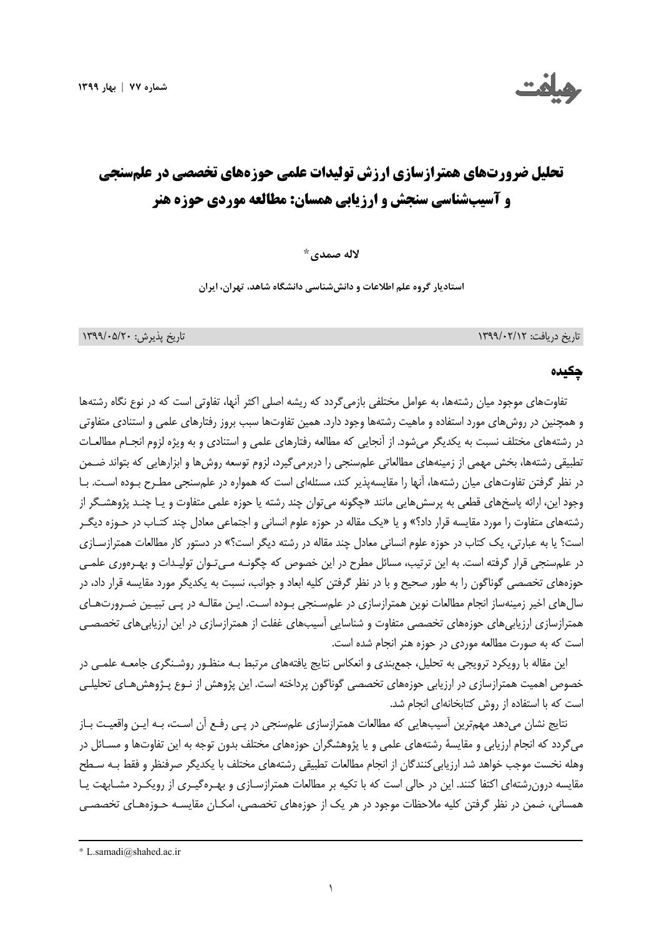



# **تحليل ضرورتهاي همترازسازي ارزش توليدات علمي حوزههاي تخصصي در علمسنجي و آسيبشناسي سنجش و ارزيابي همسان: مطالعه موردي حوزه هنر**

**لاله صمدي\***<sup>1</sup>

**استاديار گروه علم اطلاعات و دانششناسي دانشگاه شاهد، تهران، ايران** 

تاريخ دريافت: 1399/02/12 تاريخ پذيرش: 1399/05/20

#### چکیده

تفاوتهاي موجود ميان رشتهها، به عوامل مختلفي بازميگردد كه ريشه اصلي اكثر آنها، تفاوتي است كه در نوع نگاه رشتهها و همچنين در روشهاي مورد استفاده و ماهيت رشتهها وجود دارد. همين تفاوتها سبب بروز رفتارهاي علمي و استنادي متفاوتي در رشتههاي مختلف نسبت به يكديگر ميشود. از آنجايي كه مطالعه رفتارهاي علمي و استنادي و به ويژه لزوم انجـام مطالعـات تطبيقي رشتهها، بخش مهمي از زمينههاي مطالعاتي علمسنجي را دربرميگيرد، لزوم توسعه روشها و ابزارهايي كه بتواند ضـمن در نظر گرفتن تفاوتهاي ميان رشتهها، آنها را مقايسهپذير كند، مسئلهاي است كه همواره در علمسنجي مطـرح بـوده اسـت. بـا وجود اين، ارائه پاسخهاي قطعي به پرسشهايي مانند «چگونه ميتوان چند رشته يا حوزه علمي متفاوت و يـا چنـد پژوهشـگر از رشتههاي متفاوت را مورد مقايسه قرار داد؟» و يا «يك مقاله در حوزه علوم انساني و اجتماعي معادل چند كتـاب در حـوزه ديگـر است؟ يا به عبارتي، يك كتاب در حوزه علوم انساني معادل چند مقاله در رشته ديگر است؟» در دستور كار مطالعات همترازسـازي در علمسنجي قرار گرفته است. به اين ترتيب، مسائل مطرح در اين خصوص كه چگونـه مـيتـوان توليـدات و بهـرهوري علمـي حوزههاي تخصصي گوناگون را به طور صحيح و با در نظر گرفتن كليه ابعاد و جوانب، نسبت به يكديگر مورد مقايسه قرار داد، در سالهاي اخير زمينهساز انجام مطالعات نوين همترازسازي در علمسـنجي بـوده اسـت. ايـن مقالـه در پـي تبيـين ضـرورتهـاي همترازسازي ارزيابيهاي حوزههاي تخصصي متفاوت و شناسايي آسيبهاي غفلت از همترازسازي در اين ارزيابيهاي تخصصـي است كه به صورت مطالعه موردي در حوزه هنر انجام شده است.

اين مقاله با رويكرد ترويجي به تحليل، جمعبندي و انعكاس نتايج يافتههاي مرتبط بـه منظـور روشـنگري جامعـه علمـي در خصوص اهميت همترازسازي در ارزيابي حوزههاي تخصصي گوناگون پرداخته است. اين پژوهش از نـوع پـژوهشهـاي تحليلـي است كه با استفاده از روش كتابخانهاي انجام شد.

نتايج نشان ميدهد مهمترين آسيبهايي كه مطالعات همترازسازي علمسنجي در پـي رفـع آن اسـت، بـه ايـن واقعيـت بـاز ميگردد كه انجام ارزيابي و مقايسة رشتههاي علمي و يا پژوهشگران حوزههاي مختلف بدون توجه به اين تفاوتها و مسـائل در وهله نخست موجب خواهد شد ارزيابيكنندگان از انجام مطالعات تطبيقي رشتههاي مختلف با يكديگر صرفنظر و فقط بـه سـطح مقايسه درونرشتهاي اكتفا كنند. اين در حالي است كه با تكيه بر مطالعات همترازسـازي و بهـرهگيـري از رويكـرد مشـابهت يـا همساني، ضمن در نظر گرفتن كليه ملاحظات موجود در هر يك از حوزههاي تخصصي، امكـان مقايسـه حـوزههـاي تخصصـي

<u> 1989 - Johann Stoff, amerikansk politiker (d. 1989)</u>

<sup>\*</sup> L.samadi@shahed.ac.ir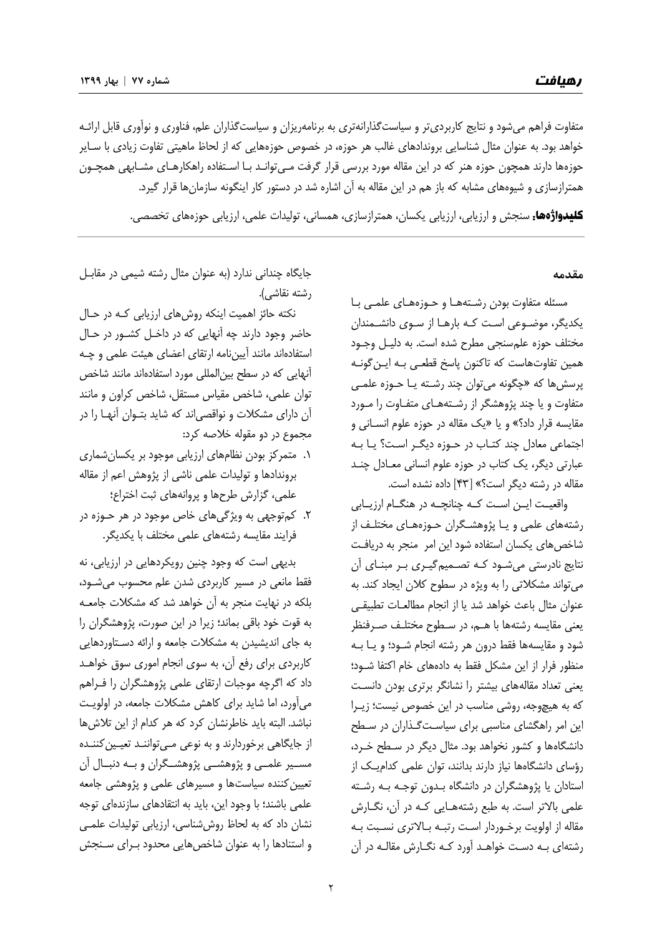متفاوت فراهم ميشود و نتايج كاربرديتر و سياستگذارانهتري به برنامهريزان و سياستگذاران علم، فناوري و نوآوري قابل ارائـه خواهد بود. به عنوان مثال شناسايي بروندادهاي غالب هر حوزه، در خصوص حوزههايي كه از لحاظ ماهيتي تفاوت زيادي با سـاير حوزهها دارند همچون حوزه هنر كه در اين مقاله مورد بررسي قرار گرفت مـيتوانـد بـا اسـتفاده راهكارهـاي مشـابهي همچـون همترازسازي و شيوههاي مشابه كه باز هم در اين مقاله به آن اشاره شد در دستور كار اينگونه سازمانها قرار گيرد.

کلیدواژهها: سنجش <sup>و</sup> ارزيابي، ارزيابي يكسان، همترازسازي، همساني، توليدات علمي، ارزيابي حوزههاي تخصصي.

#### **مقدمه**

مسئله متفاوت بودن رشـتههـا و حـوزههـاي علمـي بـا يكديگر، موضـوعي اسـت كـه بارهـا از سـوي دانشـمندان مختلف حوزه علمسنجي مطرح شده است. به دليـل وجـود همين تفاوتهاست كه تاكنون پاسخ قطعـي بـه ايـنگونـه پرسشها كه «چگونه ميتوان چند رشـته يـا حـوزه علمـي متفاوت و يا چند پژوهشگر از رشـتههـاي متفـاوت را مـورد مقايسه قرار داد؟» و يا «يك مقاله در حوزه علوم انسـاني و اجتماعي معادل چند كتـاب در حـوزه ديگـر اسـت؟ يـا بـه عبارتي ديگر، يك كتاب در حوزه علوم انساني معـادل چنـد مقاله در رشته ديگر است؟» [43] داده نشده است.

واقعيــت ايــن اســت كــه چنانچــه در هنگــام ارزيــابي رشتههاي علمي و يـا پژوهشـگران حـوزههـاي مختلـف از شاخصهاي يكسان استفاده شود اين امر منجر به دريافـت نتايج نادرستي ميشـود كـه تصـميمگيـري بـر مبنـاي آن ميتواند مشكلاتي را به ويژه در سطوح كلان ايجاد كند. به عنوان مثال باعث خواهد شد يا از انجام مطالعـات تطبيقـي يعني مقايسه رشتهها با هـم، در سـطوح مختلـف صـرفنظر شود و مقايسهها فقط درون هر رشته انجام شـود؛ و يـا بـه منظور فرار از اين مشكل فقط به دادههاي خام اكتفا شـود؛ يعني تعداد مقالههاي بيشتر را نشانگر برتري بودن دانسـت كه به هيچوجه، روشي مناسب در اين خصوص نيست؛ زيـرا اين امر راهگشاي مناسبي براي سياسـتگـذاران در سـطح دانشگاهها و كشور نخواهد بود. مثال ديگر در سـطح خـرد، رؤساي دانشگاهها نياز دارند بدانند، توان علمي كداميـك از استادان يا پژوهشگران در دانشگاه بـدون توجـه بـه رشـته علمي بالاتر است. به طبع رشتههـايي كـه در آن، نگـارش مقاله از اولويت برخـوردار اسـت رتبـه بـالاتري نسـبت بـه رشتهاي بـه دسـت خواهـد آورد كـه نگـارش مقالـه در آن

جايگاه چنداني ندارد (به عنوان مثال رشته شيمي در مقابـل رشته نقاشي).

نكته حائز اهميت اينكه روشهاي ارزيابي كـه در حـال حاضر وجود دارند چه آنهايي كه در داخـل كشـور در حـال استفادهاند مانند آييننامه ارتقاي اعضاي هيئت علمي و چـه آنهايي كه در سطح بينالمللي مورد استفادهاند مانند شاخص توان علمي، شاخص مقياس مستقل، شاخص كراون و مانند آن داراي مشكلات و نواقصياند كه شايد بتـوان آنهـا را در مجموع در دو مقوله خلاصه كرد:

- .1 متمركز بودن نظامهاي ارزيابي موجود بر يكسانشماري بروندادها و توليدات علمي ناشي از پژوهش اعم از مقاله علمي، گزارش طرحها و پروانههاي ثبت اختراع؛
- .2 كمتوجهي به ويژگيهاي خاص موجود در هر حـوزه در فرايند مقايسه رشتههاي علمي مختلف با يكديگر.

بديهي است كه وجود چنين رويكردهايي در ارزيابي، نه فقط مانعي در مسير كاربردي شدن علم محسوب ميشـود، بلكه در نهايت منجر به آن خواهد شد كه مشكلات جامعـه به قوت خود باقي بماند؛ زيرا در اين صورت، پژوهشگران را به جاي انديشيدن به مشكلات جامعه و ارائه دسـتاوردهايي كاربردي براي رفع آن، به سوي انجام اموري سوق خواهـد داد كه اگرچه موجبات ارتقاي علمي پژوهشگران را فـراهم ميآورد، اما شايد براي كاهش مشكلات جامعه، در اولويـت نباشد. البته بايد خاطرنشان كرد كه هر كدام از اين تلاشها از جايگاهي برخوردارند و به نوعي مـيتواننـد تعيـين كننـده مســير علمــي و پژوهشــي پژوهشــگران و بــه دنبــال آن تعيينكننده سياستها و مسيرهاي علمي و پژوهشي جامعه علمي باشند؛ با وجود اين، بايد به انتقادهاي سازندهاي توجه نشان داد كه به لحاظ روششناسي، ارزيابي توليدات علمـي و استنادها را به عنوان شاخص هايي محدود بـراي سـنجش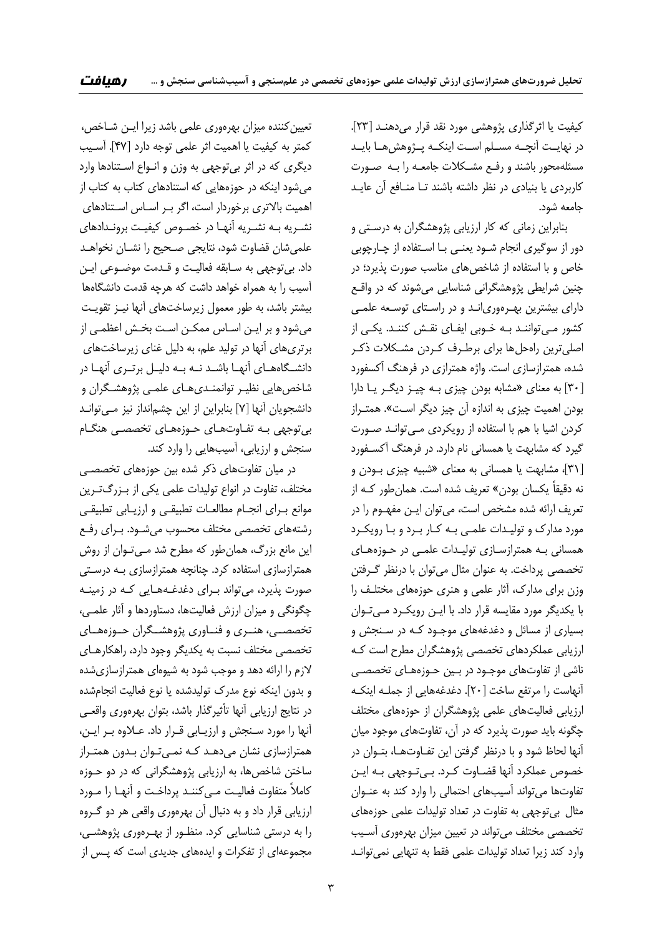كيفيت يا اثرگذاري پژوهشي مورد نقد قرار ميدهنـد [ 23]. در نهايــت آنچــه مســلم اســت اينكــه پــژوهشهــا بايــد مسئلهمحور باشند و رفـع مشـكلات جامعـه را بـه صـورت كاربردي يا بنيادي در نظر داشته باشند تـا منـافع آن عايـد جامعه شود.

بنابراين زماني كه كار ارزيابي پژوهشگران به درسـتي و دور از سوگيري انجام شـود يعنـي بـا اسـتفاده از چـارچوبي خاص و با استفاده از شاخص هاي مناسب صورت پذيرد؛ در چنين شرايطي پژوهشگراني شناسايي ميشوند كه در واقـع داراي بيشترين بهـرهوريانـد و در راسـتاي توسـعه علمـي كشور مـيتواننـد بـه خـوبي ايفـاي نقـش كننـد. يكـي از اصليترين راهحلها براي برطـرف كـردن مشـكلات ذكـر شده، همترازسازي است. واژه همترازي در فرهنگ آكسفورد [30] به معناي «مشابه بودن چيزي بـه چيـز ديگـر يـا دارا بودن اهميت چيزي به اندازه آن چيز ديگر اسـت». همتـراز كردن اشيا با هم با استفاده از رويكردي مـيتوانـد صـورت گيرد كه مشابهت يا همساني نام دارد. در فرهنگ آكسـفورد [31]، مشابهت يا همساني به معناي «شبيه چيزي بـودن و نه دقيقاً يكسان بودن» تعريف شده است. همانطور كـه از تعريف ارائه شده مشخص است، ميتوان ايـن مفهـوم را در مورد مدارك و توليـدات علمـي بـه كـار بـرد و بـا رويكـرد همساني بـه همترازسـازي توليـدات علمـي در حـوزههـاي تخصصي پرداخت. به عنوان مثال ميتوان با درنظر گـرفتن وزن براي مدارك، آثار علمي و هنري حوزههاي مختلـف را با يكديگر مورد مقايسه قرار داد. با ايـن رويكـرد مـيتـوان بسياري از مسائل و دغدغههاي موجـود كـه در سـنجش و ارزيابي عملكردهاي تخصصي پژوهشگران مطرح است كـه ناشي از تفاوتهاي موجـود در بـين حـوزههـاي تخصصـي آنهاست را مرتفع ساخت [20]. دغدغههايي از جملـه اينكـه ارزيابي فعاليتهاي علمي پژوهشگران از حوزههاي مختلف چگونه بايد صورت پذيرد كه در آن، تفاوتهاي موجود ميان آنها لحاظ شود و با درنظر گرفتن اين تفـاوتهـا، بتـوان در خصوص عملكرد آنها قضـاوت كـرد. بـيتـوجهي بـه ايـن تفاوتها ميتواند آسيبهاي احتمالي را وارد كند به عنـوان مثال بيتوجهي به تفاوت در تعداد توليدات علمي حوزههاي تخصصي مختلف ميتواند در تعيين ميزان بهرهوري آسـيب وارد كند زيرا تعداد توليدات علمي فقط به تنهايي نميتوانـد

تعيينكننده ميزان بهرهوري علمي باشد زيرا ايـن شـاخص، كمتر به كيفيت يا اهميت اثر علمي توجه دارد [47]. آسـيب ديگري كه در اثر بيتوجهي به وزن و انـواع اسـتنادها وارد ميشود اينكه در حوزههايي كه استنادهاي كتاب به كتاب از اهميت بالاتري برخوردار است، اگر بـر اسـاس اسـتنادهاي نشـريه بـه نشـريه آنهـا در خصـوص كيفيـت برونـدادهاي علميشان قضاوت شود، نتايجي صـحيح را نشـان نخواهـد داد. بيتوجهي به سـابقه فعاليـت و قـدمت موضـوعي ايـن آسيب را به همراه خواهد داشت كه هرچه قدمت دانشگاهها بيشتر باشد، به طور معمول زيرساختهاي آنها نيـز تقويـت ميشود و بر ايـن اسـاس ممكـن اسـت بخـش اعظمـي از برتريهاي آنها در توليد علم، به دليل غناي زيرساختهاي دانشـگاههـاي آنهــا باشـد نــه بـه دليــل برتـري آنهــا در شاخصهايي نظيـر توانمنـديهـاي علمـي پژوهشـگران و دانشجويان آنها [7] بنابراين از اين چشمانداز نيز مـيتوانـد بيتوجهي بـه تفـاوتهـاي حـوزههـاي تخصصـي هنگـام سنجش و ارزيابي، آسيبهايي را وارد كند.

در ميان تفاوتهاي ذكر شده بين حوزههاي تخصصـي مختلف، تفاوت در انواع توليدات علمي يكي از بـزرگتـرين موانع بـراي انجـام مطالعـات تطبيقـي و ارزيـابي تطبيقـي رشتههاي تخصصي مختلف محسوب ميشـود. بـراي رفـع اين مانع بزرگ، همانطور كه مطرح شد مـيتـوان از روش همترازسازي استفاده كرد. چنانچه همترازسازي بـه درسـتي صورت پذيرد، ميتواند بـراي دغدغـههـايي كـه در زمينـه چگونگي و ميزان ارزش فعاليتها، دستاوردها و آثار علمـي، تخصصــي، هنــري و فنــاوري پژوهشــگران حــوزههــاي تخصصي مختلف نسبت به يكديگر وجود دارد، راهكارهـاي لازم را ارائه دهد و موجب شود به شيوهاي همترازسازيشده و بدون اينكه نوع مدرك توليدشده يا نوع فعاليت انجامشده در نتايج ارزيابي آنها تأثيرگذار باشد، بتوان بهرهوري واقعـي آنها را مورد سـنجش و ارزيـابي قـرار داد. عـلاوه بـر ايـن، همترازسازي نشان ميدهـد كـه نمـيتـوان بـدون همتـراز ساختن شاخصها، به ارزيابي پژوهشگراني كه در دو حـوزه كاملاً متفاوت فعاليـت مـيكننـد پرداخـت و آنهـا را مـورد ارزيابي قرار داد و به دنبال آن بهرهوري واقعي هر دو گـروه را به درستي شناسايي كرد. منظـور از بهـرهوري پژوهشـي، مجموعهاي از تفكرات و ايدههاي جديدي است كه پـس از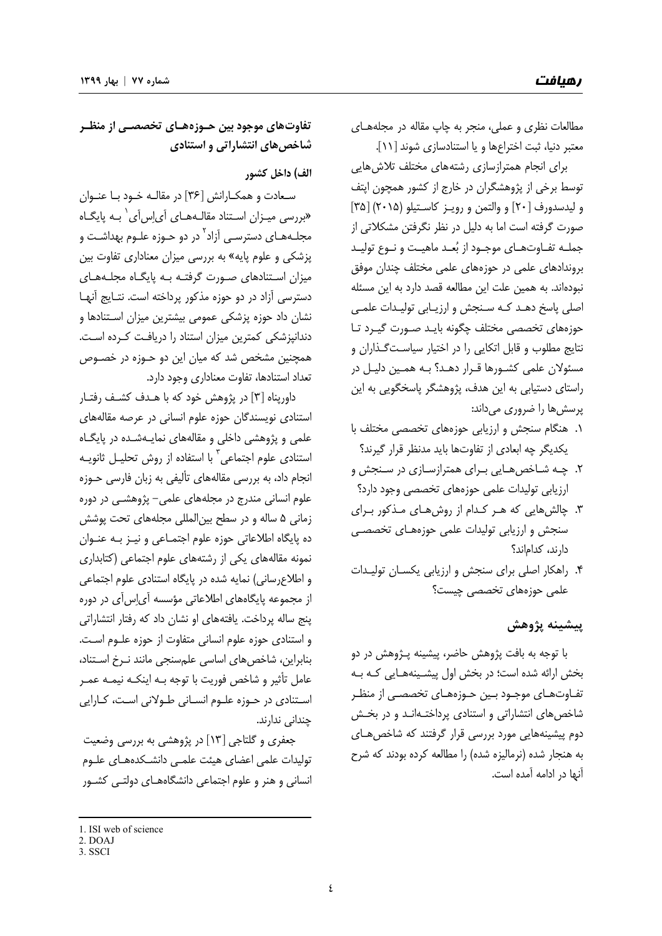مطالعات نظري و عملي، منجر به چاپ مقاله در مجلههـاي معتبر دنيا، ثبت اختراعها و يا استنادسازي شوند [11].

براي انجام همترازسازي رشتههاي مختلف تلاشهايي توسط برخي از پژوهشگران در خارج از كشور همچون اپتف و ليدسدورف [20] و والتمن و رويـز كاسـتيلو ( 2015) [35] صورت گرفته است اما به دليل در نظر نگرفتن مشكلاتي از جملـه تفـاوتهـاي موجـود از بعـد ماهيـت و نـوع توليـد بروندادهاي علمي در حوزههاي علمي مختلف چندان موفق نبودهاند. به همين علت اين مطالعه قصد دارد به اين مسئله اصلي پاسخ دهـد كـه سـنجش و ارزيـابي توليـدات علمـي حوزههاي تخصصي مختلف چگونه بايـد صـورت گيـرد تـا نتايج مطلوب و قابل اتكايي را در اختيار سياسـتگـذاران و مسئولان علمي كشـورها قـرار دهـد؟ بـه همـين دليـل در راستاي دستيابي به اين هدف، پژوهشگر پاسخگويي به اين پرسشها را ضروري ميداند:

- .1 هنگام سنجش و ارزيابي حوزههاي تخصصي مختلف با يكديگر چه ابعادي از تفاوتها بايد مدنظر قرار گيرند؟
- .2 چـه شـاخصهـايي بـراي همترازسـازي در سـنجش و ارزيابي توليدات علمي حوزههاي تخصصي وجود دارد؟
- .3 چالشهايي كه هـر كـدام از روشهـاي مـذكور بـراي سنجش و ارزيابي توليدات علمي حوزههـاي تخصصـي دارند، كداماند؟
- .4 راهكار اصلي براي سنجش و ارزيابي يكسـان توليـدات علمي حوزههاي تخصصي چيست؟

# **پيشينه پژوهش**

با توجه به بافت پژوهش حاضر، پيشينه پـژوهش در دو بخش ارائه شده است؛ در بخش اول پيشـينههـايي كـه بـه تفـاوتهـاي موجـود بـين حـوزههـاي تخصصـي از منظـر شاخصهاي انتشاراتي و استنادي پرداختـهانـد و در بخـش دوم پيشينههايي مورد بررسي قرار گرفتند كه شاخصهـاي به هنجار شده (نرماليزه شده) را مطالعه كرده بودند كه شرح آنها در ادامه آمده است.

**تفاوتهاي موجود بين حـوزههـاي تخصصـي از منظـر شاخصهاي انتشاراتي و استنادي** 

#### **الف) داخل كشور**

سـعادت و همكـارانش [36] در مقالـه خـود بـا عنـوان «بررسي ميـزان اسـتناد مقالــهـهــاي آي[س]ي ٰ بــه پايگــاه مجلـههـای دسترسـی آزاد<sup>۲</sup> در دو حـوزه علـوم بهداشـت و پزشكي و علوم پايه» به بررسي ميزان معناداري تفاوت بين ميزان اسـتنادهاي صـورت گرفتـه بـه پايگـاه مجلـههـاي دسترسي آزاد در دو حوزه مذكور پرداخته است. نتـايج آنهـا نشان داد حوزه پزشكي عمومي بيشترين ميزان اسـتنادها و دندانپزشكي كمترين ميزان استناد را دريافـت كـرده اسـت. همچنين مشخص شد كه ميان اين دو حـوزه در خصـوص تعداد استنادها، تفاوت معناداري وجود دارد.

داورپناه [3] در پژوهش خود كه با هـدف كشـف رفتـار استنادي نويسندگان حوزه علوم انساني در عرصه مقالههاي علمي و پژوهشي داخلي و مقالههاي نمايـهشـده در پايگـاه استنادى علوم اجتماعي<sup>"</sup> با استفاده از روش تحليـل ثانويـه انجام داد، به بررسي مقالههاي تأليفي به زبان فارسي حـوزه علوم انساني مندرج در مجلههاي علمي- پژوهشـي در دوره زماني 5 ساله و در سطح بينالمللي مجلههاي تحت پوشش ده پايگاه اطلاعاتي حوزه علوم اجتمـاعي و نيـز بـه عنـوان نمونه مقالههاي يكي از رشتههاي علوم اجتماعي (كتابداري و اطلاعرساني) نمايه شده در پايگاه استنادي علوم اجتماعي از مجموعه پايگاههاي اطلاعاتي مؤسسه آياسآي در دوره پنج ساله پرداخت. يافتههاي او نشان داد كه رفتار انتشاراتي و استنادي حوزه علوم انساني متفاوت از حوزه علـوم اسـت. بنابراين، شاخصهاي اساسي علمسنجي مانند نـرخ اسـتناد، عامل تأثير و شاخص فوريت با توجه بـه اينكـه نيمـه عمـر اسـتنادي در حـوزه علـوم انسـاني طـولاني اسـت، كـارايي چنداني ندارند.

جعفري و گلتاجي [13] در پژوهشي به بررسي وضعيت توليدات علمي اعضاي هيئت علمـي دانشـكدههـاي علـوم انساني و هنر و علوم اجتماعي دانشگاههـاي دولتـي كشـور

<sup>1.</sup> ISI web of science

<sup>2.</sup> DOAJ

<sup>3.</sup> SSCI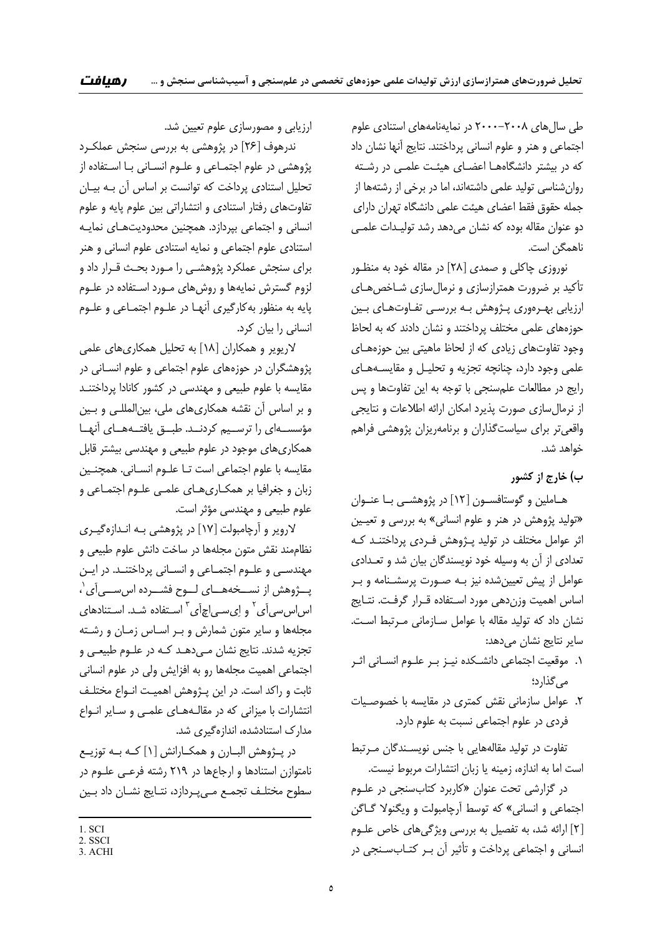طي سالهاي 2000-2008 در نمايهنامههاي استنادي علوم اجتماعي و هنر و علوم انساني پرداختند. نتايج آنها نشان داد كه در بيشتر دانشگاههـا اعضـاي هيئـت علمـي در رشـته روانشناسي توليد علمي داشتهاند، اما در برخي از رشتهها از جمله حقوق فقط اعضاي هيئت علمي دانشگاه تهران داراي دو عنوان مقاله بوده كه نشان ميدهد رشد توليـدات علمـي ناهمگن است.

نوروزي چاكلي و صمدي [28] در مقاله خود به منظـور تأكيد بر ضرورت همترازسازي و نرمالسازي شـاخصهـاي ارزيابي بهـرهوري پـژوهش بـه بررسـي تفـاوتهـاي بـين حوزههاي علمي مختلف پرداختند و نشان دادند كه به لحاظ وجود تفاوتهاي زيادي كه از لحاظ ماهيتي بين حوزههـاي علمي وجود دارد، چنانچه تجزيه و تحليـل و مقايسـههـاي رايج در مطالعات علمسنجي با توجه به اين تفاوتها و پس از نرمالسازي صورت پذيرد امكان ارائه اطلاعات و نتايجي واقعيتر براي سياستگذاران و برنامهريزان پژوهشي فراهم خواهد شد.

#### **ب) خارج از كشور**

هـاملين و گوستافســون [12] در پژوهشــي بــا عنــوان «توليد پژوهش در هنر و علوم انساني» به بررسي و تعيـين اثر عوامل مختلف در توليد پـژوهش فـردي پرداختنـد كـه تعدادي از آن به وسيله خود نويسندگان بيان شد و تعـدادي عوامل از پيش تعيينشده نيز بـه صـورت پرسشـنامه و بـر اساس اهميت وزندهي مورد اسـتفاده قـرار گرفـت. نتـايج نشان داد كه توليد مقاله با عوامل سـازماني مـرتبط اسـت. ساير نتايج نشان ميدهد:

- .1 موقعيت اجتماعي دانشـكده نيـز بـر علـوم انسـاني اثـر ميگذارد؛
- .2 عوامل سازماني نقش كمتري در مقايسه با خصوصـيات فردي در علوم اجتماعي نسبت به علوم دارد.

تفاوت در توليد مقالههايي با جنس نويسـندگان مـرتبط است اما به اندازه، زمينه يا زبان انتشارات مربوط نيست.

در گزارشي تحت عنوان «كاربرد كتابسنجي در علـوم اجتماعي و انساني» كه توسط آرچامبولت و ويگنولا گـاگن [2] ارائه شد، به تفصيل به بررسي ويژگيهاي خاص علـوم انساني و اجتماعي پرداخت و تأثير آن بـر كتـابسـنجي در

ارزيابي و مصورسازي علوم تعيين شد.

ندرهوف [26] در پژوهشي به بررسي سنجش عملكـرد پژوهشي در علوم اجتمـاعي و علـوم انسـاني بـا اسـتفاده از تحليل استنادي پرداخت كه توانست بر اساس آن بـه بيـان تفاوتهاي رفتار استنادي و انتشاراتي بين علوم پايه و علوم انساني و اجتماعي بپردازد. همچنين محدوديتهـاي نمايـه استنادي علوم اجتماعي و نمايه استنادي علوم انساني و هنر براي سنجش عملكرد پژوهشـي را مـورد بحـث قـرار داد و لزوم گسترش نمايهها و روشهاي مـورد اسـتفاده در علـوم پايه به منظور بهكارگيري آنهـا در علـوم اجتمـاعي و علـوم انساني را بيان كرد.

لاريوير و همكاران [18] به تحليل همكاريهاي علمي پژوهشگران در حوزههاي علوم اجتماعي و علوم انسـاني در مقايسه با علوم طبيعي و مهندسي در كشور كانادا پرداختنـد و بر اساس آن نقشه همكاريهاي ملي، بينالمللـي و بـين مؤسســهاي را ترســيم كردنــد. طبــق يافتــههــاي آنهــا همكاريهاي موجود در علوم طبيعي و مهندسي بيشتر قابل مقايسه با علوم اجتماعي است تـا علـوم انسـاني. همچنـين زبان و جغرافيا بر همكـاريهـاي علمـي علـوم اجتمـاعي و علوم طبيعي و مهندسي مؤثر است.

لاروير و آرچامبولت [17] در پژوهشي بـه انـدازهگيـري نظاممند نقش متون مجلهها در ساخت دانش علوم طبيعي و مهندسـي و علـوم اجتمـاعي و انسـاني پرداختنـد. در ايـن پــژوهش از نســخههــاي لــوح فشــرده اسســيآي 1 ، اساسسي]ي<sup>۲</sup> و اِيسـي|چ]ي<sup>۳</sup> اسـتفاده شـد. اسـتنادهاي مجلهها و ساير متون شمارش و بـر اسـاس زمـان و رشـته تجزيه شدند. نتايج نشان مـي دهـد كـه در علـوم طبيعـي و اجتماعي اهميت مجلهها رو به افزايش ولي در علوم انساني ثابت و راكد است. در اين پـژوهش اهميـت انـواع مختلـف انتشارات با ميزاني كه در مقالـههـاي علمـي و سـاير انـواع مدارك استنادشده، اندازهگيري شد.

در پـژوهش البـارن و همكـارانش [1] كـه بـه توزيـع نامتوازن استنادها و ارجاعها در 219 رشته فرعـي علـوم در سطوح مختلـف تجمـع مـيپـردازد، نتـايج نشـان داد بـين

<sup>1.</sup> SCI

<sup>2.</sup> SSCI

<sup>3.</sup> ACHI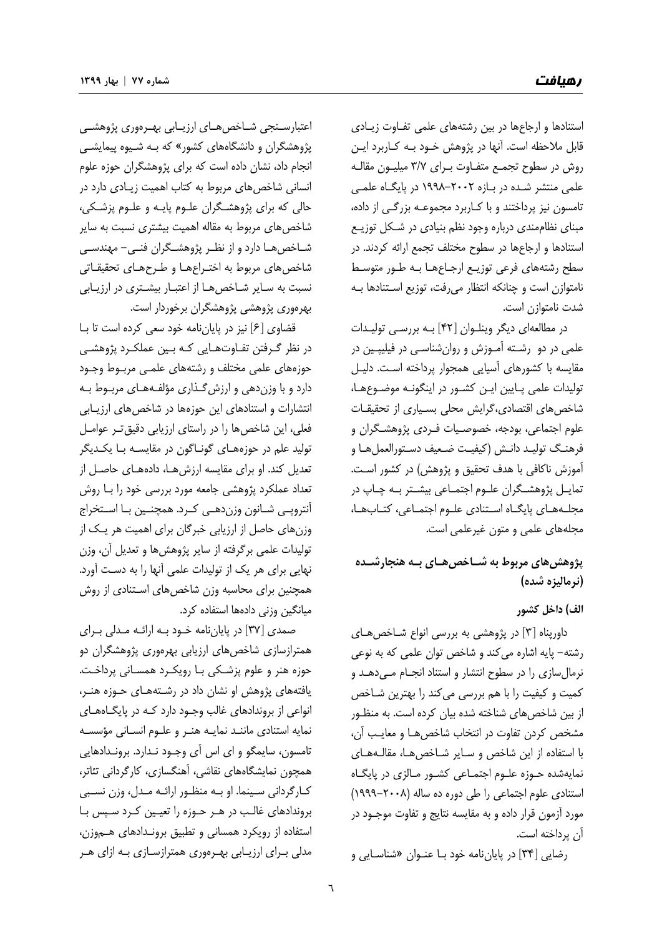استنادها و ارجاعها در بين رشتههاي علمي تفـاوت زيـادي قابل ملاحظه است. آنها در پژوهش خـود بـه كـاربرد ايـن روش در سطوح تجمـع متفـاوت بـراي 3/7 ميليـون مقالـه علمي منتشر شـده در بـازه 1998-2002 در پايگـاه علمـي تامسون نيز پرداختند و با كـاربرد مجموعـه بزرگـي از داده، مبناي نظاممندي درباره وجود نظم بنيادي در شـكل توزيـع استنادها و ارجاعها در سطوح مختلف تجمع ارائه كردند. در سطح رشتههاي فرعي توزيـع ارجـاعهـا بـه طـور متوسـط نامتوازن است و چنانكه انتظار ميرفت، توزيع اسـتنادها بـه شدت نامتوازن است.

در مطالعهاي ديگر وينلـوان [ 42] بـه بررسـي توليـدات علمي در دو رشـته آمـوزش و روانشناسـي در فيليپـين در مقايسه با كشورهاي آسيايي همجوار پرداخته اسـت. دليـل توليدات علمي پـايين ايـن كشـور در اينگونـه موضـوعهـا، شاخصهاي اقتصادي،گرايش محلي بسـياري از تحقيقـات علوم اجتماعي، بودجه، خصوصـيات فـردي پژوهشـگران و فرهنـگ توليـد دانـش (كيفيـت ضـعيف دسـتورالعملهـا و آموزش ناكافي با هدف تحقيق و پژوهش) در كشور اسـت. تمايـل پژوهشـگران علـوم اجتمـاعي بيشـتر بـه چـاپ در مجلـههـاي پايگـاه اسـتنادي علـوم اجتمـاعي، كتـابهـا، مجلههاي علمي و متون غيرعلمي است.

## **پژوهشهاي مربوط به شـاخصهـاي بـه هنجارشـده (نرماليزه شده)**

#### **الف) داخل كشور**

داورپناه [3] در پژوهشي به بررسي انواع شـاخصهـاي رشته- پايه اشاره ميكند و شاخص توان علمي كه به نوعي نرمالسازي را در سطوح انتشار و استناد انجـام مـيدهـد و كميت و كيفيت را با هم بررسي ميكند را بهترين شـاخص از بين شاخصهاي شناخته شده بيان كرده است. به منظـور مشخص كردن تفاوت در انتخاب شاخصهـا و معايـب آن، با استفاده از اين شاخص و سـاير شـاخصهـا، مقالـههـاي نمايهشده حـوزه علـوم اجتمـاعي كشـور مـالزي در پايگـاه استنادي علوم اجتماعي را طي دوره ده ساله (1999-2008) مورد آزمون قرار داده و به مقايسه نتايج و تفاوت موجـود در آن پرداخته است.

رضايي [34] در پاياننامه خود بـا عنـوان «شناسـايي و

اعتبارسـنجي شـاخصهـاي ارزيـابي بهـرهوري پژوهشـي پژوهشگران و دانشگاههاي كشور» كه بـه شـيوه پيمايشـي انجام داد، نشان داده است كه براي پژوهشگران حوزه علوم انساني شاخصهاي مربوط به كتاب اهميت زيـادي دارد در حالي كه براي پژوهشـگران علـوم پايـه و علـوم پزشـكي، شاخصهاي مربوط به مقاله اهميت بيشتري نسبت به ساير شـاخصهـا دارد و از نظـر پژوهشـگران فنـي- مهندسـي شاخصهاي مربوط به اختـراعهـا و طـرحهـاي تحقيقـاتي نسبت به سـاير شـاخصهـا از اعتبـار بيشـتري در ارزيـابي بهرهوري پژوهشي پژوهشگران برخوردار است.

قضاوي [6] نيز در پاياننامه خود سعي كرده است تا بـا در نظر گـرفتن تفـاوتهـايي كـه بـين عملكـرد پژوهشـي حوزههاي علمي مختلف و رشتههاي علمـي مربـوط وجـود دارد و با وزندهي و ارزشگـذاري مؤلفـههـاي مربـوط بـه انتشارات و استنادهاي اين حوزهها در شاخصهاي ارزيـابي فعلي، اين شاخصها را در راستاي ارزيابي دقيقتـر عوامـل توليد علم در حوزههـاي گونـاگون در مقايسـه بـا يكـديگر تعديل كند. او براي مقايسه ارزشهـا، دادههـاي حاصـل از تعداد عملكرد پژوهشي جامعه مورد بررسي خود را بـا روش آنتروپـي شـانون وزندهـي كـرد. همچنـين بـا اسـتخراج وزنهاي حاصل از ارزيابي خبرگان براي اهميت هر يـك از توليدات علمي برگرفته از ساير پژوهشها و تعديل آن، وزن نهايي براي هر يك از توليدات علمي آنها را به دسـت آورد. همچنين براي محاسبه وزن شاخص هاي اسـتنادي از روش ميانگين وزني دادهها استفاده كرد.

صمدي [37] در پاياننامه خـود بـه ارائـه مـدلي بـراي همترازسازي شاخصهاي ارزيابي بهرهوري پژوهشگران دو حوزه هنر و علوم پزشـكي بـا رويكـرد همسـاني پرداخـت. يافتههاي پژوهش او نشان داد در رشـتههـاي حـوزه هنـر، انواعي از بروندادهاي غالب وجـود دارد كـه در پايگـاههـاي نمايه استنادي ماننـد نمايـه هنـر و علـوم انسـاني مؤسسـه تامسون، سايمگو و اي اس آي وجـود نـدارد. برونـدادهايي همچون نمايشگاههاي نقاشي، آهنگسازي، كارگرداني تئاتر، كـارگرداني سـينما. او بـه منظـور ارائـه مـدل، وزن نسـبي بروندادهاي غالـب در هـر حـوزه را تعيـين كـرد سـپس بـا استفاده از رويكرد همساني و تطبيق برونـدادهاي هـموزن، مدلي بـراي ارزيـابي بهـرهوري همترازسـازي بـه ازاي هـر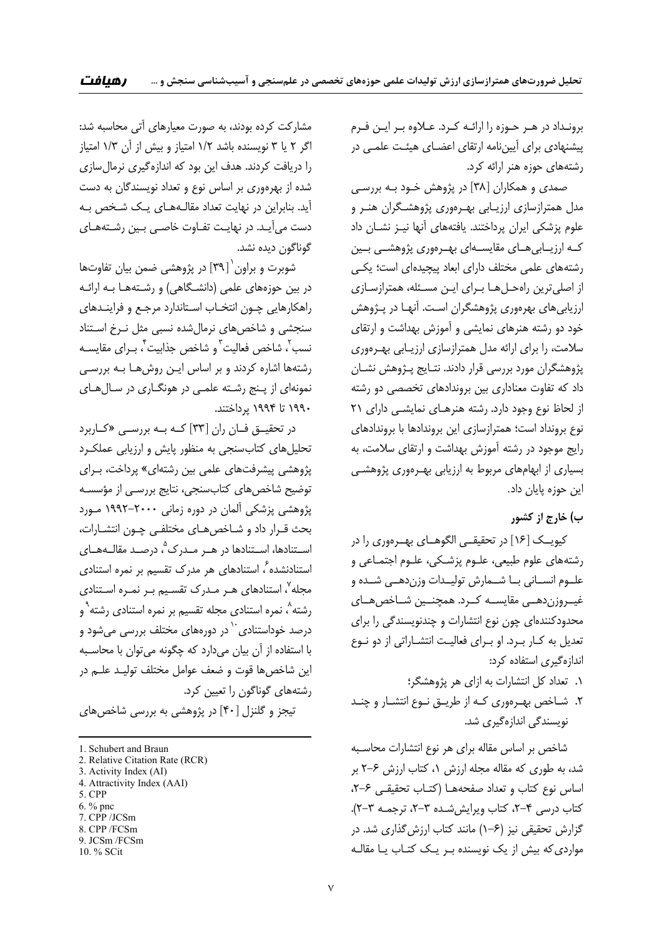برونـداد در هـر حـوزه را ارائـه كـرد. عـلاوه بـر ايـن فـرم پيشنهادي براي آييننامه ارتقاي اعضـاي هيئـت علمـي در رشتههاي حوزه هنر ارائه كرد.

صمدي و همكاران [38] در پژوهش خـود بـه بررسـي مدل همترازسازي ارزيـابي بهـرهوري پژوهشـگران هنـر و علوم پزشكي ايران پرداختند. يافتههاي آنها نيـز نشـان داد كــه ارزيــابيهــاي مقايســهاي بهــرهوري پژوهشــي بــين رشتههاي علمي مختلف داراي ابعاد پيچيدهاي است؛ يكـي از اصليترين راهحـلهـا بـراي ايـن مسـئله، همترازسـازي ارزيابيهاي بهرهوري پژوهشگران اسـت. آنهـا در پـژوهش خود دو رشته هنرهاي نمايشي و آموزش بهداشت و ارتقاي سلامت، را براي ارائه مدل همترازسازي ارزيـابي بهـرهوري پژوهشگران مورد بررسي قرار دادند. نتـايج پـژوهش نشـان داد كه تفاوت معناداري بين بروندادهاي تخصصي دو رشته از لحاظ نوع وجود دارد. رشته هنرهـاي نمايشـي داراي 21 نوع برونداد است؛ همترازسازي اين بروندادها با بروندادهاي رايج موجود در رشته آموزش بهداشت و ارتقاي سلامت، به بسياري از ابهامهاي مربوط به ارزيابي بهـرهوري پژوهشـي اين حوزه پايان داد.

### **ب) خارج از كشور**

كيويــك [16] در تحقيقــي الگوهــاي بهــرهوري را در رشتههاي علوم طبيعي، علـوم پزشـكي، علـوم اجتمـاعي و علــوم انســاني بــا شــمارش توليــدات وزندهــي شــده و غيــروزندهــي مقايســه كــرد. همچنــين شــاخصهــاي محدودكنندهاي چون نوع انتشارات و چندنويسندگي را براي تعديل به كـار بـرد. او بـراي فعاليـت انتشـاراتي از دو نـوع اندازهگيري استفاده كرد:

- .1 تعداد كل انتشارات به ازاي هر پژوهشگر؛
- .2 شـاخص بهـرهوري كـه از طريـق نـوع انتشـار و چنـد نويسندگي اندازهگيري شد.

شاخص بر اساس مقاله براي هر نوع انتشارات محاسـبه شد، به طوري كه مقاله مجله ارزش ،1 كتاب ارزش 2-6 بر اساس نوع كتاب و تعداد صفحههـا (كتـاب تحقيقـي ،2-6 كتاب درسي ۴-۲، كتاب ويرايش شـده ۳-۲، ترجمـه ۳-۲). گزارش تحقيقي نيز (1-6) مانند كتاب ارزشگذاري شد. در موارديكه بيش از يك نويسنده بـر يـك كتـاب يـا مقالـه

مشاركت كرده بودند، به صورت معيارهاي آتي محاسبه شد: اگر 2 يا 3 نويسنده باشد 1/2 امتياز و بيش از آن 1/3 امتياز را دريافت كردند. هدف اين بود كه اندازهگيري نرمالسازي شده از بهرهوري بر اساس نوع و تعداد نويسندگان به دست آيد. بنابراين در نهايت تعداد مقالـههـاي يـك شـخص بـه دست ميآيـد. در نهايـت تفـاوت خاصـي بـين رشـتههـاي گوناگون ديده نشد.

شوبرت و براون` [٣٩] در پژوهشي ضمن بيان تفاوتها در بين حوزههاي علمي (دانشـگاهي) و رشـتههـا بـه ارائـه راهكارهايي چـون انتخـاب اسـتاندارد مرجـع و فراينـدهاي سنجشي و شاخصهاي نرمالشده نسبي مثل نـرخ اسـتناد نسب<sup>٢</sup>، شاخص فعاليت ّو شاخص جذابيت ً، بـراي مقايسـه رشتهها اشاره كردند و بر اساس ايـن روشهـا بـه بررسـي نمونهاي از پـنج رشـته علمـي در هونگـاري در سـالهـاي 1990 تا 1994 پرداختند.

در تحقيــق فــان ران [33] كــه بــه بررســي «كــاربرد تحليلهاي كتابسنجي به منظور پايش و ارزيابي عملكـرد پژوهشي پيشرفتهاي علمي بين رشتهاي» پرداخت، بـراي توضيح شاخصهاي كتابسنجي، نتايج بررسـي از مؤسسـه پژوهشي پزشكي آلمان در دوره زماني 1992-2000 مـورد بحث قـرار داد و شـاخصهـاي مختلفـي چـون انتشـارات، اســتنادها، اســتنادها در هــر مــدرک°، درصــد مقالــههــاي استنادنشده <sup>ع</sup>، استنادهای هر مدرک تقسیم بر نمره استنادی محله<sup>۷</sup>، استنادهای هـر مـدرک تقسـيم بـر نمـره اسـتنادی رشته<sup>^</sup>، نمره استنادى مجله تقسيم بر نمره استنادى رشته<sup>٩</sup>و درصد خوداستنادی<sup>۰۰</sup> در دورهها*ی* مختلف بررسی میشود و با استفاده از آن بيان ميدارد كه چگونه ميتوان با محاسـبه اين شاخصها قوت و ضعف عوامل مختلف توليـد علـم در رشتههاي گوناگون را تعيين كرد.

تيجز و گلنزل [40] در پژوهشي به بررسي شاخصهاي

<u> 1989 - Johann Barn, mars eta bainar eta industrial eta bainarra (h. 1989).</u>

- 1. Schubert and Braun
- 2. Relative Citation Rate (RCR)
- 3. Activity Index (AI)
- 4. Attractivity Index (AAI)
- 5. CPP
- 6. % pnc 7. CPP /JCSm
- 8. CPP /FCSm
- 9. JCSm /FCSm

<sup>10. %</sup> SCit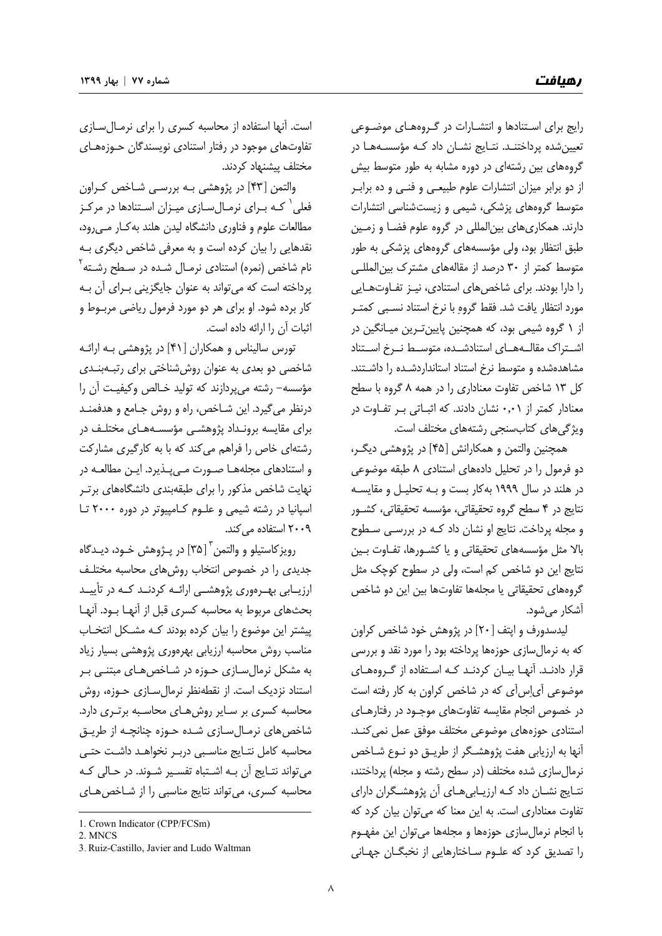رايج براي اسـتنادها و انتشـارات در گـروههـاي موضـوعي تعيينشده پرداختنـد. نتـايج نشـان داد كـه مؤسسـههـا در گروههاي بين رشتهاي در دوره مشابه به طور متوسط بيش از دو برابر ميزان انتشارات علوم طبيعـي و فنـي و ده برابـر متوسط گروههاي پزشكي، شيمي و زيستشناسي انتشارات دارند. همكاريهاي بينالمللي در گروه علوم فضـا و زمـين طبق انتظار بود، ولي مؤسسههاي گروههاي پزشكي به طور متوسط كمتر از 30 درصد از مقالههاي مشترك بينالمللـي را دارا بودند. براي شاخصهاي استنادي، نيـز تفـاوتهـايي مورد انتظار يافت شد. فقط گروه با نرخ استناد نسـبي كمتـر از 1 گروه شيمي بود، كه همچنين پايينتـرين ميـانگين در اشــتراك مقالــههــاي استنادشــده، متوســط نــرخ اســتناد مشاهدهشده و متوسط نرخ استناد استانداردشـده را داشـتند. كل 13 شاخص تفاوت معناداري را در همه 8 گروه با سطح معنادار كمتر از 0,01 نشان دادند. كه اثبـاتي بـر تفـاوت در ويژگيهاي كتابسنجي رشتههاي مختلف است.

همچنين والتمن و همكارانش [45] در پژوهشي ديگـر، دو فرمول را در تحليل دادههاي استنادي 8 طبقه موضوعي در هلند در سال 1999 بهكار بست و بـه تحليـل و مقايسـه نتايج در 4 سطح گروه تحقيقاتي، مؤسسه تحقيقاتي، كشـور و مجله پرداخت. نتايج او نشان داد كـه در بررسـي سـطوح بالا مثل مؤسسههاي تحقيقاتي و يا كشـورها، تفـاوت بـين نتايج اين دو شاخص كم است، ولي در سطوح كوچك مثل گروههاي تحقيقاتي يا مجلهها تفاوتها بين اين دو شاخص آشكار ميشود.

ليدسدورف و اپتف [20] در پژوهش خود شاخص كراون كه به نرمالسازي حوزهها پرداخته بود را مورد نقد و بررسي قرار دادنـد. آنهـا بيـان كردنـد كـه اسـتفاده از گـروههـاي موضوعي آياسآي كه در شاخص كراون به كار رفته است در خصوص انجام مقايسه تفاوتهاي موجـود در رفتارهـاي استنادي حوزههاي موضوعي مختلف موفق عمل نميكنـد. آنها به ارزيابي هفت پژوهشـگر از طريـق دو نـوع شـاخص نرمالسازي شده مختلف (در سطح رشته و مجله) پرداختند، نتـايج نشـان داد كـه ارزيـابيهـاي آن پژوهشـگران داراي تفاوت معناداري است. به اين معنا كه ميتوان بيان كرد كه با انجام نرمالسازي حوزهها و مجلهها ميتوان اين مفهـوم را تصديق كرد كه علـوم سـاختارهايي از نخبگـان جهـاني

است. آنها استفاده از محاسبه كسري را براي نرمـالسـازي تفاوتهاي موجود در رفتار استنادي نويسندگان حـوزههـاي مختلف پيشنهاد كردند.

والتمن [43] در پژوهشي بـه بررسـي شـاخص كـراون فعلي<sup>'</sup> كـه بـراي نرمـالسـازي ميـزان اسـتنادها در مركـز مطالعات علوم و فناوري دانشگاه ليدن هلند بهكـار مـيرود، نقدهايي را بيان كرده است و به معرفي شاخص ديگري بـه نام شاخص (نمره) استنادى نرمـال شـده در سـطح رشـته<sup>۲</sup> پرداخته است كه ميتواند به عنوان جايگزيني بـراي آن بـه كار برده شود. او براي هر دو مورد فرمول رياضي مربـوط و اثبات آن را ارائه داده است.

تورس ساليناس و همكاران [41] در پژوهشي بـه ارائـه شاخصي دو بعدي به عنوان روششناختي براي رتبـهبنـدي مؤسسه- رشته ميپردازند كه توليد خـالص وكيفيـت آن را درنظر ميگيرد. اين شـاخص، راه و روش جـامع و هدفمنـد براي مقايسه برونـداد پژوهشـي مؤسسـههـاي مختلـف در رشتهاي خاص را فراهم ميكند كه با به كارگيري مشاركت و استنادهاي مجلههـا صـورت مـيپـذيرد. ايـن مطالعـه در نهايت شاخص مذكور را براي طبقهبندي دانشگاههاي برتـر اسپانيا در رشته شيمي و علـوم كـامپيوتر در دوره 2000 تـا 2009 استفاده ميكند.

رويز كاستيلو و والتمن <sup>۳</sup> [۳۵] در پـژوهش خـود، ديـدگاه جديدي را در خصوص انتخاب روشهاي محاسبه مختلـف ارزيــابي بهــرهوري پژوهشــي ارائــه كردنــد كــه در تأييــد بحثهاي مربوط به محاسبه كسري قبل از آنهـا بـود. آنهـا پيشتر اين موضوع را بيان كرده بودند كـه مشـكل انتخـاب مناسب روش محاسبه ارزيابي بهرهوري پژوهشي بسيار زياد به مشكل نرمالسـازي حـوزه در شـاخصهـاي مبتنـي بـر استناد نزديك است. از نقطهنظر نرمالسـازي حـوزه، روش محاسبه كسري بر سـاير روشهـاي محاسـبه برتـري دارد. شاخصهاي نرمـالسـازي شـده حـوزه چنانچـه از طريـق محاسبه كامل نتـايج مناسـبي دربـر نخواهـد داشـت حتـي ميتواند نتـايج آن بـه اشـتباه تفسـير شـوند. در حـالي كـه محاسبه كسري، ميتواند نتايج مناسبي را از شـاخصهـاي

<u> 1989 - Johann Barn, mars eta bainar eta industrial eta bainarra (h. 1989).</u>

<sup>1.</sup> Crown Indicator (CPP/FCSm)

<sup>2.</sup> MNCS

<sup>3</sup>. Ruiz-Castillo, Javier and Ludo Waltman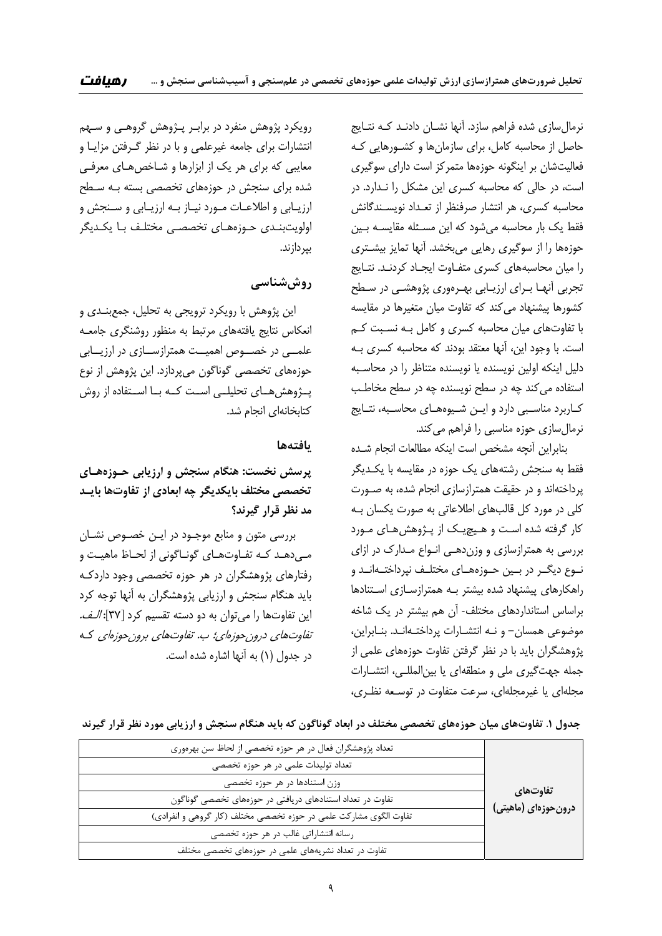نرمالسازي شده فراهم سازد. آنها نشـان دادنـد كـه نتـايج حاصل از محاسبه كامل، براي سازمانها و كشـورهايي كـه فعاليتشان بر اينگونه حوزهها متمركز است داراي سوگيري است، در حالي كه محاسبه كسري اين مشكل را نـدارد. در محاسبه كسري، هر انتشار صرفنظر از تعـداد نويسـندگانش فقط يك بار محاسبه ميشود كه اين مسـئله مقايسـه بـين حوزهها را از سوگيري رهايي ميبخشد. آنها تمايز بيشـتري را ميان محاسبههاي كسري متفـاوت ايجـاد كردنـد. نتـايج تجربي آنهـا بـراي ارزيـابي بهـرهوري پژوهشـي در سـطح كشورها پيشنهاد مي كند كه تفاوت ميان متغيرها در مقايسه با تفاوتهاي ميان محاسبه كسري و كامل بـه نسـبت كـم است. با وجود اين، آنها معتقد بودند كه محاسبه كسري بـه دليل اينكه اولين نويسنده يا نويسنده متناظر را در محاسـبه استفاده ميكند چه در سطح نويسنده چه در سطح مخاطـب كـاربرد مناسـبي دارد و ايـن شـيوههـاي محاسـبه، نتـايج نرمالسازي حوزه مناسبي را فراهم ميكند.

بنابراين آنچه مشخص است اينكه مطالعات انجام شـده فقط به سنجش رشتههاي يك حوزه در مقايسه با يكـديگر پرداختهاند و در حقيقت همترازسازي انجام شده، به صـورت كلي در مورد كل قالبهاي اطلاعاتي به صورت يكسان بـه كار گرفته شده اسـت و هـيچيـك از پـژوهشهـاي مـورد بررسي به همترازسازي و وزندهـي انـواع مـدارك در ازاي نــوع ديگــر در بــين حــوزههــاي مختلــف نپرداختــهانــد و راهكارهاي پيشنهاد شده بيشتر بـه همترازسـازي اسـتنادها براساس استانداردهاي مختلف- آن هم بيشتر در يك شاخه موضوعي همسان- و نـه انتشـارات پرداختـهانـد. بنـابراين، پژوهشگران بايد با در نظر گرفتن تفاوت حوزههاي علمي از جمله جهتگيري ملي و منطقهاي يا بينالمللـي، انتشـارات مجلهاي يا غيرمجلهاي، سرعت متفاوت در توسـعه نظـري،

رويكرد پژوهش منفرد در برابـر پـژوهش گروهـي و سـهم انتشارات براي جامعه غيرعلمي و با در نظر گـرفتن مزايـا و معايبي كه براي هر يك از ابزارها و شـاخص هـاي معرفـي شده براي سنجش در حوزههاي تخصصي بسته بـه سـطح ارزيـابي و اطلاعـات مـورد نيـاز بـه ارزيـابي و سـنجش و اولويتبنـدي حـوزههـاي تخصصـي مختلـف بـا يكـديگر بپردازند.

### **روششناسي**

اين پژوهش با رويكرد ترويجي به تحليل، جمعبنـدي و انعكاس نتايج يافتههاي مرتبط به منظور روشنگري جامعـه علمــي در خصــوص اهميــت همترازســازي در ارزيــابي حوزههاي تخصصي گوناگون ميپردازد. اين پژوهش از نوع پــژوهشهــاي تحليلــي اســت كــه بــا اســتفاده از روش كتابخانهاي انجام شد.

#### **يافتهها**

**پرسش نخست: هنگام سنجش و ارزيابي حـوزههـاي تخصصي مختلف بايكديگر چه ابعادي از تفاوتها بايـد مد نظر قرار گيرند؟** 

بررسي متون و منابع موجـود در ايـن خصـوص نشـان مـيدهـد كـه تفـاوتهـاي گونـاگوني از لحـاظ ماهيـت و رفتارهاي پژوهشگران در هر حوزه تخصصي وجود داردكـه بايد هنگام سنجش و ارزيابي پژوهشگران به آنها توجه كرد اين تفاوتها را ميتوان به دو دسته تقسيم كرد [37]: الـف. تفاوتهاي درونحوزهاي؛ <sup>ب</sup>. تفاوتهاي برونحوزهاي كـه در جدول (1) به آنها اشاره شده است.

جدول ۱. تفاوتهای میان حوزههای تخصصی مختلف در ابعاد گوناگون که باید هنگام سنجش و ارزیابی مورد نظر قرار گیرند

| تعداد پژوهشگران فعال در هر حوزه تخصصی از لحاظ سن بهرهوری          | <b>ٰ تفاوتھای</b><br>درونحوزهای (ماهیتی) |
|-------------------------------------------------------------------|------------------------------------------|
| تعداد تولیدات علمی در هر حوزه تخصصی                               |                                          |
| وزن استنادها در هر حوزه تخصصى                                     |                                          |
| تفاوت در تعداد استنادهای دریافتی در حوزههای تخصصی گوناگون         |                                          |
| تفاوت الگوی مشارکت علمی در حوزه تخصصی مختلف (کار گروهی و انفرادی) |                                          |
| رسانه انتشاراتی غالب در هر حوزه تخصصی                             |                                          |
| تفاوت در تعداد نشریههای علمی در حوزههای تخصصی مختلف               |                                          |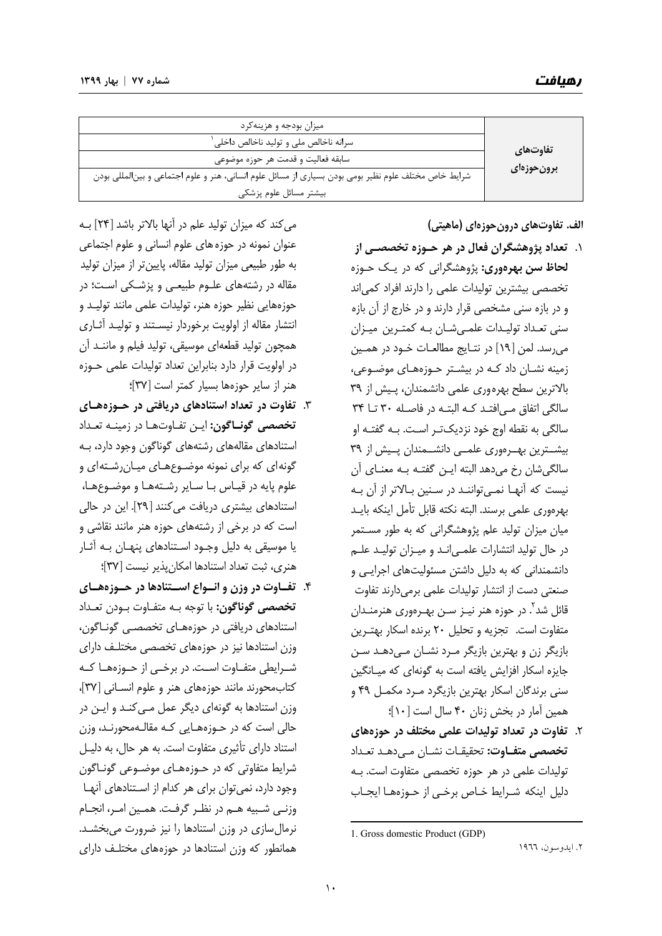| میزان بودجه و هزینهکرد                                                                               | تفاوتهاي<br>برونحوزهاى |
|------------------------------------------------------------------------------------------------------|------------------------|
| سرانه ناخالص ملی و تولید ناخالص داخلی <sup>۱</sup>                                                   |                        |
| سابقه فعاليت و قدمت هر حوزه موضوعي                                                                   |                        |
| شرایط خاص مختلف علوم نظیر بومی بودن بسیاری از مسائل علوم انسانی، هنر و علوم اجتماعی و بینالمللی بودن |                        |
| بيشتر مسائل علوم پزشكى                                                                               |                        |

**الف. تفاوتهاي درونحوزهاي (ماهيتي)** 

- .1 **تعداد پژوهشگران فعال در هر حـوزه تخصصـي از لحاظ سن بهرهوري:** پژوهشگراني كه در يـك حـوزه تخصصي بيشترين توليدات علمي را دارند افراد كمياند و در بازه سني مشخصي قرار دارند و در خارج از آن بازه سني تعـداد توليـدات علمـيشـان بـه كمتـرين ميـزان ميرسد. لمن [19] در نتـايج مطالعـات خـود در همـين زمينه نشـان داد كـه در بيشـتر حـوزههـاي موضـوعي، بالاترين سطح بهرهوري علمي دانشمندان، پـيش از 39 سالگي اتفاق مـيافتـد كـه البتـه در فاصـله 30 تـا 34 سالگي به نقطه اوج خود نزديكتـر اسـت. بـه گفتـه او بيشــترين بهــرهوري علمــي دانشــمندان پــيش از 39 سالگيشان رخ ميدهد البته ايـن گفتـه بـه معنـاي آن نيست كه آنهـا نمـيتواننـد در سـنين بـالاتر از آن بـه بهرهوري علمي برسند. البته نكته قابل تأمل اينكه بايـد ميان ميزان توليد علم پژوهشگراني كه به طور مسـتمر در حال توليد انتشارات علمـيانـد و ميـزان توليـد علـم دانشمنداني كه به دليل داشتن مسئوليتهاي اجرايـي و صنعتي دست از انتشار توليدات علمي برميدارند تفاوت قائل شد<sup>۲</sup>. در حوزه هنر نيـز سـن بهـرهوري هنرمنـدان متفاوت است. تجزيه و تحليل 20 برنده اسكار بهتـرين بازيگر زن و بهترين بازيگر مـرد نشـان مـيدهـد سـن جايزه اسكار افزايش يافته است به گونهاي كه ميـانگين سني برندگان اسكار بهترين بازيگرد مـرد مكمـل 49 و همين آمار در بخش زنان 40 سال است [10]؛
- .2 **تفاوت در تعداد توليدات علمي مختلف در حوزههاي** <mark>تخصصي متفـاوت:</mark> تحقيقـات نشـان مـي دهـد تعـداد توليدات علمي در هر حوزه تخصصي متفاوت است. بـه دليل اينكه شـرايط خـاص برخـي از حـوزههـا ايجـاب

.2 ايدوسون، 1966

ميكند كه ميزان توليد علم در آنها بالاتر باشد [24] بـه عنوان نمونه در حوزههاي علوم انساني و علوم اجتماعي به طور طبيعي ميزان توليد مقاله، پايينتر از ميزان توليد مقاله در رشتههاي علـوم طبيعـي و پزشـكي اسـت؛ در حوزههايي نظير حوزه هنر، توليدات علمي مانند توليـد و انتشار مقاله از اولويت برخوردار نيسـتند و توليـد آثـاري همچون توليد قطعهاي موسيقي، توليد فيلم و ماننـد آن در اولويت قرار دارد بنابراين تعداد توليدات علمي حـوزه هنر از ساير حوزهها بسيار كمتر است [37]؛

- .3 **تفاوت در تعداد استنادهاي دريافتي در حـوزههـاي تخصصي گونـاگون:** ايـن تفـاوتهـا در زمينـه تعـداد استنادهاي مقالههاي رشتههاي گوناگون وجود دارد، بـه گونهاي كه براي نمونه موضـوعهـاي ميـانرشـتهاي و علوم پايه در قيـاس بـا سـاير رشـتههـا و موضـوعهـا، استنادهاي بيشتري دريافت ميكنند [29]. اين در حالي است كه در برخي از رشتههاي حوزه هنر مانند نقاشي و يا موسيقي به دليل وجـود اسـتنادهاي پنهـان بـه آثـار هنري، ثبت تعداد استنادها امكانپذير نيست [37]؛
- .4 **تفــاوت در وزن و انــواع اســتنادها در حــوزههــاي تخصصي گوناگون:** با توجه بـه متفـاوت بـودن تعـداد استنادهاي دريافتي در حوزههـاي تخصصـي گونـاگون، وزن استنادها نيز در حوزههاي تخصصي مختلـف داراي شــرايطي متفــاوت اســت. در برخــي از حــوزههــا كــه كتابمحورند مانند حوزههاي هنر و علوم انسـاني [ 37]، وزن استنادها به گونهاي ديگر عمل مـيكنـد و ايـن در حالي است كه در حـوزههـايي كـه مقالـهمحورنـد، وزن استناد داراي تأثيري متفاوت است. به هر حال، به دليـل شرايط متفاوتي كه در حـوزههـاي موضـوعي گونـاگون وجود دارد، نميتوان براي هر كدام از اسـتنادهاي آنهـا وزنـي شـبيه هـم در نظـر گرفـت. همـين امـر، انجـام نرمالسازي در وزن استنادها را نيز ضرورت ميبخشـد. همانطور كه وزن استنادها در حوزههاي مختلـف داراي

<sup>&</sup>lt;u> Andrew Maria (1989)</u> 1. Gross domestic Product (GDP)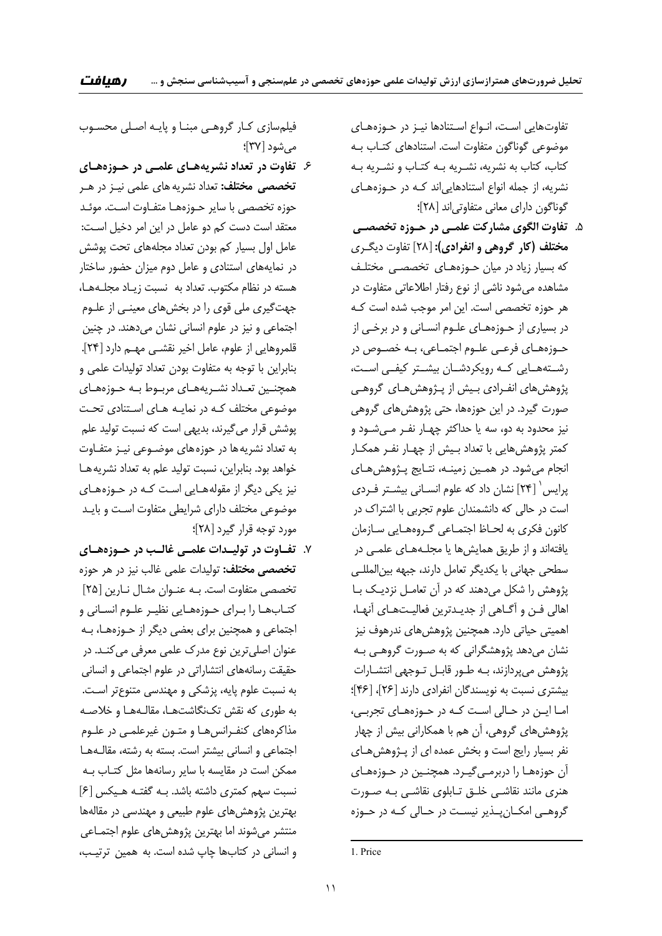تفاوتهايي اسـت، انـواع اسـتنادها نيـز در حـوزههـاي موضوعي گوناگون متفاوت است. استنادهاي كتـاب بـه كتاب، كتاب به نشريه، نشـريه بـه كتـاب و نشـريه بـه نشريه، از جمله انواع استنادهايياند كـه در حـوزههـاي گوناگون داراي معاني متفاوتياند [28]؛

.5 **تفاوت الگوي مشاركت علمـي در حـوزه تخصصـي مختلف (كار گروهي و انفرادي):** [28] تفاوت ديگـري كه بسيار زياد در ميان حـوزههـاي تخصصـي مختلـف مشاهده ميشود ناشي از نوع رفتار اطلاعاتي متفاوت در هر حوزه تخصصي است. اين امر موجب شده است كـه در بسياري از حـوزههـاي علـوم انسـاني و در برخـي از حـوزههـاي فرعـي علـوم اجتمـاعي، بـه خصـوص در رشــتههــايي كــه رويكردشــان بيشــتر كيفــي اســت، پژوهشهاي انفـرادي بـيش از پـژوهشهـاي گروهـي صورت گيرد. در اين حوزهها، حتي پژوهشهاي گروهي نيز محدود به دو، سه يا حداكثر چهـار نفـر مـيشـود و كمتر پژوهشهايي با تعداد بـيش از چهـار نفـر همكـار انجام ميشود. در همـين زمينـه، نتـايج پـژوهشهـاي 1 پرايس [24] نشان داد كه علوم انسـاني بيشـتر فـردي است در حالي كه دانشمندان علوم تجربي با اشتراك در كانون فكري به لحـاظ اجتمـاعي گـروههـايي سـازمان يافتهاند و از طريق همايشها يا مجلـههـاي علمـي در سطحي جهاني با يكديگر تعامل دارند، جبهه بينالمللـي پژوهش را شكل ميدهند كه در آن تعامـل نزديـك بـا اهالي فـن و آگـاهي از جديـدترين فعاليـتهـاي آنهـا، اهميتي حياتي دارد. همچنين پژوهشهاي ندرهوف نيز نشان ميدهد پژوهشگراني كه به صـورت گروهـي بـه پژوهش ميپردازند، بـه طـور قابـل تـوجهي انتشـارات بيشتري نسبت به نويسندگان انفرادي دارند [26]، [46]؛ امـا ايـن در حـالي اسـت كـه در حـوزههـاي تجربـي، پژوهشهاي گروهي، آن هم با همكاراني بيش از چهار نفر بسيار رايج است و بخش عمده اي از پـژوهشهـاي آن حوزههـا را دربرمـيگيـرد. همچنـين در حـوزههـاي هنري مانند نقاشـي خلـق تـابلوي نقاشـي بـه صـورت گروهــي امكــانپــذير نيســت در حــالي كــه در حــوزه

<u> Andrew Maria (1989)</u>

فيلمسازي كـار گروهـي مبنـا و پايـه اصـلي محسـوب ميشود [37]؛

- .6 **تفاوت در تعداد نشريههـاي علمـي در حـوزههـاي تخصصي مختلف:** تعداد نشريههاي علمي نيـز در هـر حوزه تخصصي با ساير حـوزههـا متفـاوت اسـت. موئـد معتقد است دست كم دو عامل در اين امر دخيل اسـت: عامل اول بسيار كم بودن تعداد مجلههاي تحت پوشش در نمايههاي استنادي و عامل دوم ميزان حضور ساختار هسته در نظام مكتوب. تعداد به نسبت زيـاد مجلـههـا، جهتگيري ملي قوي را در بخشهاي معينـي از علـوم اجتماعي و نيز در علوم انساني نشان ميدهند. در چنين قلمروهايي از علوم، عامل اخير نقشـي مهـم دارد [24]. بنابراين با توجه به متفاوت بودن تعداد توليدات علمي و همچنـين تعـداد نشـريههـاي مربـوط بـه حـوزههـاي موضوعي مختلف كـه در نمايـه هـاي اسـتنادي تحـت پوشش قرار ميگيرند، بديهي است كه نسبت توليد علم به تعداد نشريهها در حوزههاي موضـوعي نيـز متفـاوت خواهد بود. بنابراين، نسبت توليد علم به تعداد نشريههـا نيز يكي ديگر از مقولههـايي اسـت كـه در حـوزههـاي موضوعي مختلف داراي شرايطي متفاوت اسـت و بايـد مورد توجه قرار گيرد [28]؛
- .7 **تفـاوت در توليـدات علمـي غالـب در حـوزههـاي تخصصي مختلف:** توليدات علمي غالب نيز در هر حوزه تخصصي متفاوت است. بـه عنـوان مثـال نـارين [25] كتـابهـا را بـراي حـوزههـايي نظيـر علـوم انسـاني و اجتماعي و همچنين براي بعضي ديگر از حـوزههـا، بـه عنوان اصليترين نوع مدرك علمي معرفي ميكنـد. در حقيقت رسانههاي انتشاراتي در علوم اجتماعي و انساني به نسبت علوم پايه، پزشكي و مهندسي متنوعتر اسـت. به طوري كه نقش تكنگاشتهـا، مقالـههـا و خلاصـه مذاكرههاي كنفـرانسهـا و متـون غيرعلمـي در علـوم اجتماعي و انساني بيشتر است. بسته به رشته، مقالـههـا ممكن است در مقايسه با ساير رسانهها مثل كتـاب بـه نسبت سهم كمتري داشته باشد. بـه گفتـه هـيكس [6] بهترين پژوهشهاي علوم طبيعي و مهندسي در مقالهها منتشر ميشوند اما بهترين پژوهشهاي علوم اجتمـاعي و انساني در كتابها چاپ شده است. به همين ترتيـب،

<sup>1.</sup> Price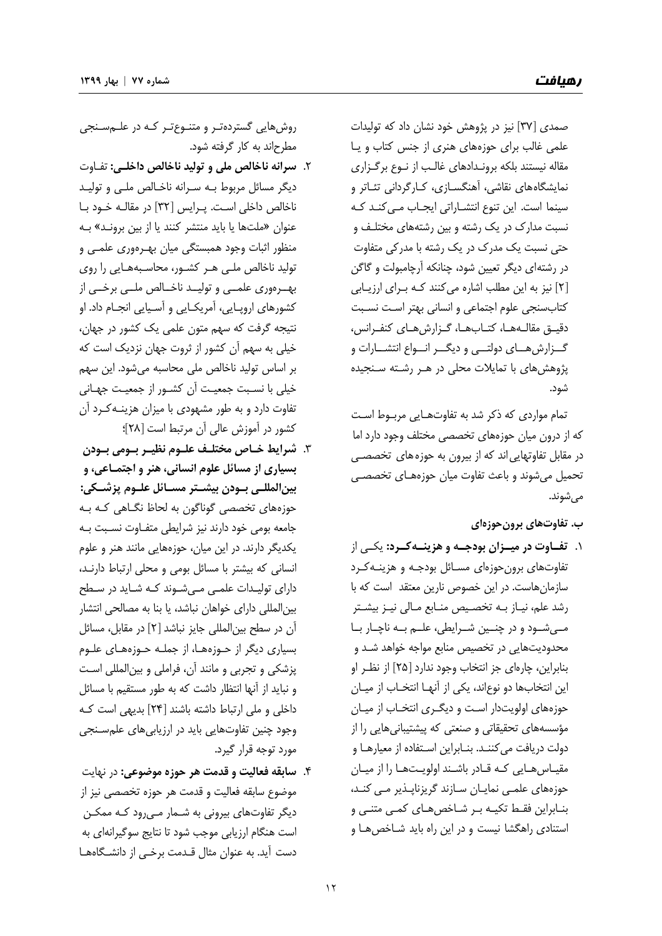صمدي [37] نيز در پژوهش خود نشان داد كه توليدات علمي غالب براي حوزههاي هنري از جنس كتاب و يـا مقاله نيستند بلكه برونـدادهاي غالـب از نـوع برگـزاري نمايشگاههاي نقاشي، آهنگسـازي، كـارگرداني تئـاتر و سينما است. اين تنوع انتشـاراتي ايجـاب مـيكنـد كـه نسبت مدارك در يك رشته و بين رشتههاي مختلـف و حتي نسبت يك مدرك در يك رشته با مدركي متفاوت در رشتهاي ديگر تعيين شود، چنانكه آرچامبولت و گاگن [2] نيز به اين مطلب اشاره ميكنند كـه بـراي ارزيـابي كتابسنجي علوم اجتماعي و انساني بهتر اسـت نسـبت دقيـق مقالـههـا، كتـابهـا، گـزارشهـاي كنفـرانس، گــزارشهــاي دولتــي و ديگــر انــواع انتشــارات و پژوهشهاي با تمايلات محلي در هـر رشـته سـنجيده شود.

تمام مواردي كه ذكر شد به تفاوتهـايي مربـوط اسـت كه از درون ميان حوزههاي تخصصي مختلف وجود دارد اما در مقابل تفاوتهايياند كه از بيرون به حوزههاي تخصصـي تحميل ميشوند و باعث تفاوت ميان حوزههـاي تخصصـي ميشوند.

**ب. تفاوتهاي برونحوزهاي** 

.1 **تفــاوت در ميــزان بودجــه و هزينــهكــرد:** يكــي از تفاوتهاي برونحوزهاي مسـائل بودجـه و هزينـهكـرد سازمانهاست. در اين خصوص نارين معتقد است كه با رشد علم، نيـاز بـه تخصـيص منـابع مـالي نيـز بيشـتر مــيشــود و در چنــين شــرايطي، علــم بــه ناچــار بــا محدوديتهايي در تخصيص منابع مواجه خواهد شـد و بنابراين، چارهاي جز انتخاب وجود ندارد [25] از نظـر او اين انتخابها دو نوعاند، يكي از آنهـا انتخـاب از ميـان حوزههاي اولويتدار اسـت و ديگـري انتخـاب از ميـان مؤسسههاي تحقيقاتي و صنعتي كه پيشتيبانيهايي را از دولت دريافت ميكننـد. بنـابراين اسـتفاده از معيارهـا و مقيـاسهـايي كـه قـادر باشـند اولويـتهـا را از ميـان حوزههاي علمـي نمايـان سـازند گريزناپـذير مـي كنـد، بنـابراين فقـط تكيـه بـر شـاخصهـاي كمـي متنـي و استنادي راهگشا نيست و در اين راه بايد شـاخصهـا و

روشهايي گستردهتـر و متنـوعتـر كـه در علـمسـنجي مطرحاند به كار گرفته شود.

- .2 **سرانه ناخالص ملي و توليد ناخالص داخلـي:** تفـاوت ديگر مسائل مربوط بـه سـرانه ناخـالص ملـي و توليـد ناخالص داخلي اسـت. پـرايس [ 32] در مقالـه خـود بـا عنوان «ملتها يا بايد منتشر كنند يا از بين برونـد» بـه منظور اثبات وجود همبستگي ميان بهـرهوري علمـي و توليد ناخالص ملـي هـر كشـور، محاسـبههـايي را روي بهــرهوري علمــي و توليــد ناخــالص ملــي برخــي از كشورهاي اروپـايي، آمريكـايي و آسـيايي انجـام داد. او نتيجه گرفت كه سهم متون علمي يك كشور در جهان، خيلي به سهم آن كشور از ثروت جهان نزديك است كه بر اساس توليد ناخالص ملي محاسبه ميشود. اين سهم خيلي با نسـبت جمعيـت آن كشـور از جمعيـت جهـاني تفاوت دارد و به طور مشهودي با ميزان هزينـهكـرد آن كشور در آموزش عالي آن مرتبط است [28]؛
- .3 **شرايط خـاص مختلـف علـوم نظيـر بـومي بـودن بسياري از مسائل علوم انساني، هنر و اجتمـاعي، و بينالمللـي بـودن بيشـتر مسـائل علـوم پزشـكي:** حوزههاي تخصصي گوناگون به لحاظ نگـاهي كـه بـه جامعه بومي خود دارند نيز شرايطي متفـاوت نسـبت بـه يكديگر دارند. در اين ميان، حوزههايي مانند هنر و علوم انساني كه بيشتر با مسائل بومي و محلي ارتباط دارنـد، داراي توليـدات علمـي مـيشـوند كـه شـايد در سـطح بينالمللي داراي خواهان نباشد، يا بنا به مصالحي انتشار آن در سطح بينالمللي جايز نباشد [2] در مقابل، مسائل بسياري ديگر از حـوزههـا، از جملـه حـوزههـاي علـوم پزشكي و تجربي و مانند آن، فراملي و بينالمللي اسـت و نبايد از آنها انتظار داشت كه به طور مستقيم با مسائل داخلي و ملي ارتباط داشته باشند [24] بديهي است كـه وجود چنين تفاوتهايي بايد در ارزيابيهاي علمسـنجي مورد توجه قرار گيرد.
- .4 **سابقه فعاليت و قدمت هر حوزه موضوعي:** در نهايت موضوع سابقه فعاليت و قدمت هر حوزه تخصصي نيز از ديگر تفاوتهاي بيروني به شـمار مـيرود كـه ممكـن است هنگام ارزيابي موجب شود تا نتايج سوگيرانهاي به دست آيد. به عنوان مثال قـدمت برخـي از دانشـگاههـا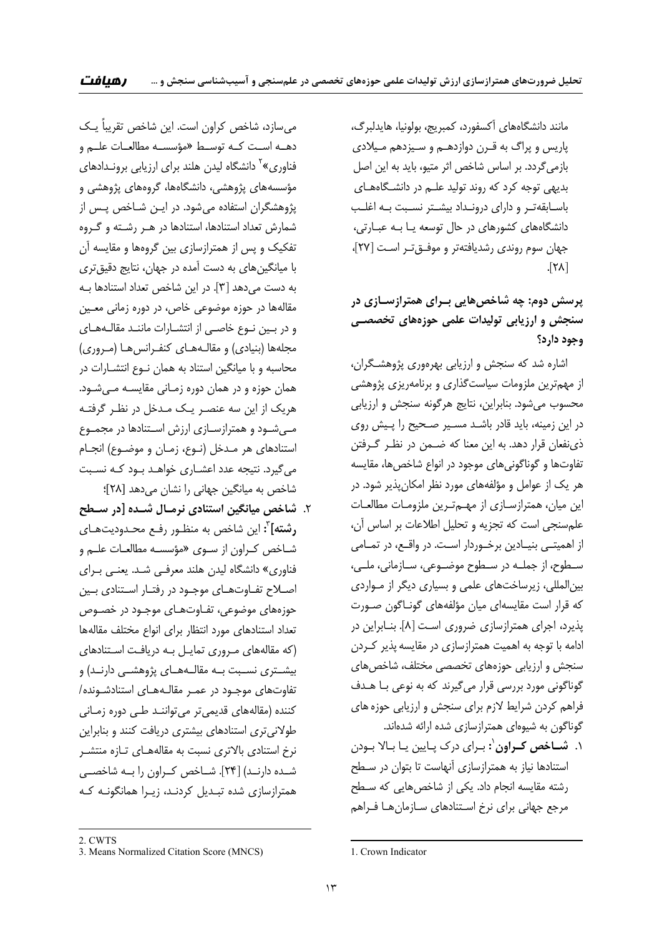مانند دانشگاههاي آكسفورد، كمبريج، بولونيا، هايدلبرگ، پاريس و پراگ به قـرن دوازدهـم و سـيزدهم مـيلادي بازمي گردد. بر اساس شاخص اثر متيو، بايد به اين اصل بديهي توجه كرد كه روند توليد علـم در دانشـگاههـاي باسـابقهتـر و داراي درونـداد بيشـتر نسـبت بـه اغلـب دانشگاههاي كشورهاي در حال توسعه يـا بـه عبـارتي، جهان سوم روندي رشديافتهتر و موفـقتـر اسـت [27]،  $\sqrt{7\lambda}$ 

# **پرسش دوم: چه شاخصهايي بـراي همترازسـازي در سنجش و ارزيابي توليدات علمي حوزههاي تخصصـي وجود دارد؟**

اشاره شد كه سنجش و ارزيابي بهرهوري پژوهشـگران، از مهمترين ملزومات سياستگذاري و برنامهريزي پژوهشي محسوب ميشود. بنابراين، نتايج هرگونه سنجش و ارزيابي در اين زمينه، بايد قادر باشـد مسـير صـحيح را پـيش روي ذينفعان قرار دهد. به اين معنا كه ضـمن در نظـر گـرفتن تفاوتها و گوناگونيهاي موجود در انواع شاخصها، مقايسه هر يك از عوامل و مؤلفههاي مورد نظر امكانپذير شود. در اين ميان، همترازسـازي از مهـمتـرين ملزومـات مطالعـات علمسنجي است كه تجزيه و تحليل اطلاعات بر اساس آن، از اهميتـي بنيـادين برخـوردار اسـت. در واقـع، در تمـامي سـطوح، از جملـه در سـطوح موضـوعي، سـازماني، ملــي، بينالمللي، زيرساختهاي علمي و بسياري ديگر از مـواردي كه قرار است مقايسهاي ميان مؤلفههاي گونـاگون صـورت پذيرد، اجراي همترازسازي ضروري اسـت [8]. بنـابراين در ادامه با توجه به اهميت همترازسازي در مقايسهپذير كـردن سنجش و ارزيابي حوزههاي تخصصي مختلف، شاخص هاي گوناگوني مورد بررسي قرار ميگيرند كه به نوعي بـا هـدف فراهم كردن شرايط لازم براي سنجش و ارزيابي حوزههاي گوناگون به شيوهاي همترازسازي شده ارائه شدهاند.

1 .1 **شـاخص كـراون :** بـراي درك پـايين يـا بـالا بـودن استنادها نياز به همترازسازي آنهاست تا بتوان در سـطح رشته مقايسه انجام داد. يكي از شاخصهايي كه سـطح مرجع جهاني براي نرخ اسـتنادهاي سـازمانهـا فـراهم

ميسازد، شاخص كراون است. اين شاخص تقريباً يـك دهــه اســت كــه توســط «مؤسســه مطالعــات علــم و فناوري»<sup>۲</sup> دانشگاه ليدن هلند براي ارزيابي برونـدادهاي مؤسسههاي پژوهشي، دانشگاهها، گروههاي پژوهشي و پژوهشگران استفاده ميشود. در ايـن شـاخص پـس از شمارش تعداد استنادها، استنادها در هـر رشـته و گـروه تفكيك و پس از همترازسازي بين گروهها و مقايسه آن با ميانگينهاي به دست آمده در جهان، نتايج دقيقتري به دست ميدهد [3]. در اين شاخص تعداد استنادها بـه مقالهها در حوزه موضوعي خاص، در دوره زماني معـين و در بـين نـوع خاصـي از انتشـارات ماننـد مقالـههـاي مجلهها (بنيادي) و مقالـههـاي كنفـرانسهـا (مـروري) محاسبه و با ميانگين استناد به همان نـوع انتشـارات در همان حوزه و در همان دوره زمـاني مقايسـه مـيشـود. هريك از اين سه عنصـر يـك مـدخل در نظـر گرفتـه مـيشـود و همترازسـازي ارزش اسـتنادها در مجمـوع استنادهاي هر مـدخل (نـوع، زمـان و موضـوع) انجـام ميگيرد. نتيجه عدد اعشـاري خواهـد بـود كـه نسـبت شاخص به ميانگين جهاني را نشان ميدهد [28]؛

.2 **شاخص ميانگين استنادي نرمـال شـده [در سـطح :** اين شاخص به منظـور رفـع محـدوديتهـاي <sup>3</sup> **رشته]** شـاخص كـراون از سـوي «مؤسسـه مطالعـات علـم و فناوري» دانشگاه ليدن هلند معرفـي شـد. يعنـي بـراي اصـلاح تفـاوتهـاي موجـود در رفتـار اسـتنادي بـين حوزههاي موضوعي، تفـاوتهـاي موجـود در خصـوص تعداد استنادهاي مورد انتظار براي انواع مختلف مقالهها (كه مقالههاي مـروري تمايـل بـه دريافـت اسـتنادهاي بيشــتري نســبت بــه مقالــههــاي پژوهشــي دارنــد) و تفاوتهاي موجـود در عمـر مقالـههـاي استنادشـونده/ كننده (مقالههاي قديميتر ميتواننـد طـي دوره زمـاني طولانيتري استنادهاي بيشتري دريافت كنند و بنابراين نرخ استنادي بالاتري نسبت به مقالههـاي تـازه منتشـر شــده دارنــد) [24]. شــاخص كــراون را بــه شاخصــي همترازسازي شده تبـديل كردنـد، زيـرا همانگونـه كـه

<sup>&</sup>lt;u> 1989 - Johann Barn, mars eta bainar eta industrial eta bainarra (h. 1989).</u> 2. CWTS

<sup>3.</sup> Means Normalized Citation Score (MNCS)

<sup>&</sup>lt;u> Andrew Maria (1989)</u> 1. Crown Indicator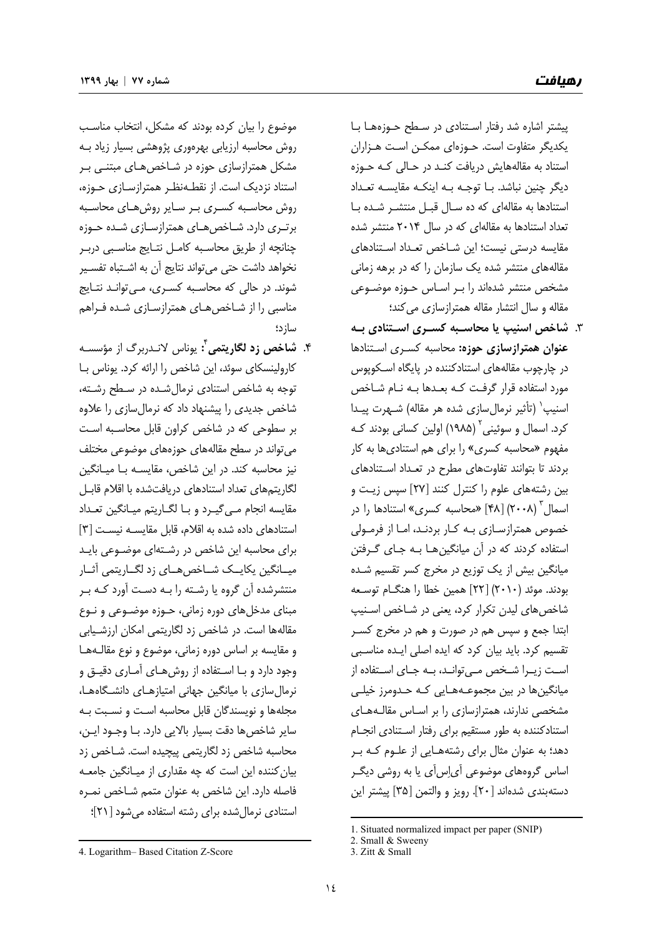رهيافت **شماره <sup>77</sup> | بهار <sup>1399</sup>**

پيشتر اشاره شد رفتار اسـتنادي در سـطح حـوزههـا بـا يكديگر متفاوت است. حـوزهاي ممكـن اسـت هـزاران استناد به مقاله هايش دريافت كنـد در حـالي كـه حـوزه ديگر چنين نباشد. بـا توجـه بـه اينكـه مقايسـه تعـداد استنادها به مقالهاي كه ده سـال قبـل منتشـر شـده بـا تعداد استنادها به مقالهاي كه در سال 2014 منتشر شده مقايسه درستي نيست؛ اين شـاخص تعـداد اسـتنادهاي مقالههاي منتشر شده يك سازمان را كه در برهه زماني مشخص منتشر شدهاند را بـر اسـاس حـوزه موضـوعي مقاله و سال انتشار مقاله همترازسازي مي كند؛

.3 **شاخص اسنيپ يا محاسـبه كسـري اسـتنادي بـه عنوان همترازسازي حوزه:** محاسبه كسـري اسـتنادها در چارچوب مقالههاي استنادكننده در پايگاه اسـكوپوس مورد استفاده قرار گرفـت كـه بعـدها بـه نـام شـاخص اسنيپ<sup>'</sup> (تأثير نرمال سازي شده هر مقاله) شـهرت پيـدا كرد. اسمال و سوئيني<sup>۲</sup> (۱۹۸۵) اولين كسان*ي* بودند كـه مفهوم «محاسبه كسري» را براي هم استناديها به كار بردند تا بتوانند تفاوتهاي مطرح در تعـداد اسـتنادهاي بين رشتههاي علوم را كنترل كنند [27] سپس زيـت و 3 اسمال (2008) [48] «محاسبه كسري» استنادها را در خصوص همترازسـازي بـه كـار بردنـد، امـا از فرمـولي استفاده كردند كه در آن ميانگينهـا بـه جـاي گـرفتن ميانگين بيش از يك توزيع در مخرج كسر تقسيم شـده بودند. موئد (2010) [22] همين خطا را هنگـام توسـعه شاخصهاي ليدن تكرار كرد، يعني در شـاخص اسـنيپ ابتدا جمع و سپس هم در صورت و هم در مخرج كسـر تقسيم كرد. بايد بيان كرد كه ايده اصلي ايـده مناسـبي اسـت زيـرا شـخص مـيتوانـد، بـه جـاي اسـتفاده از ميانگينها در بين مجموعـههـايي كـه حـدومرز خيلـي مشخصي ندارند، همترازسازي را بر اسـاس مقالـههـاي استنادكننده به طور مستقيم براي رفتار اسـتنادي انجـام دهد؛ به عنوان مثال براي رشتههـايي از علـوم كـه بـر اساس گروههاي موضوعي آياسآي يا به روشي ديگـر دستهبندي شدهاند [20]. رويز و والتمن [35] پيشتر اين

موضوع را بيان كرده بودند كه مشكل، انتخاب مناسـب روش محاسبه ارزيابي بهرهوري پژوهشي بسيار زياد بـه مشكل همترازسازي حوزه در شـاخص *هـ*اي مبتنـي بـر استناد نزديك است. از نقطـهنظـر همترازسـازي حـوزه، روش محاسـبه كسـري بـر سـاير روشهـاي محاسـبه برتـري دارد. شـاخصهـاي همترازسـازي شـده حـوزه چنانچه از طريق محاسـبه كامـل نتـايج مناسـبي دربـر نخواهد داشت حتي ميتواند نتايج آن به اشـتباه تفسـير شوند. در حالي كه محاسـبه كسـري، مـيتوانـد نتـايج مناسبي را از شـاخص هـاي همترازسـازي شـده فـراهم سازد؛

**:** يوناس لانـدربرگ از مؤسسـه <sup>4</sup> .4 **شاخص زد لگاريتمي** كارولينسكاي سوئد، اين شاخص را ارائه كرد. يوناس بـا توجه به شاخص استنادي نرمالشـده در سـطح رشـته، شاخص جديدي را پيشنهاد داد كه نرمالسازي را علاوه بر سطوحي كه در شاخص كراون قابل محاسـبه اسـت ميتواند در سطح مقالههاي حوزههاي موضوعي مختلف نيز محاسبه كند. در اين شاخص، مقايسـه بـا ميـانگين لگاريتمهاي تعداد استنادهاي دريافتشده با اقلام قابـل مقايسه انجام مـيگيـرد و بـا لگـاريتم ميـانگين تعـداد استنادهاي داده شده به اقلام، قابل مقايسـه نيسـت [ 3] براي محاسبه اين شاخص در رشـتهاي موضـوعي بايـد ميــانگين يكايــك شــاخصهــاي زد لگــاريتمي آثــار منتشرشده آن گروه يا رشـته را بـه دسـت آورد كـه بـر مبناي مدخلهاي دوره زماني، حـوزه موضـوعي و نـوع مقالهها است. در شاخص زد لگاريتمي امكان ارزشـيابي و مقايسه بر اساس دوره زماني، موضوع و نوع مقالـههـا وجود دارد و بـا اسـتفاده از روشهـاي آمـاري دقيـق و نرمالسازي با ميانگين جهاني امتيازهـاي دانشـگاههـا، مجلهها و نويسندگان قابل محاسبه اسـت و نسـبت بـه ساير شاخصها دقت بسيار بالايي دارد. بـا وجـود ايـن، محاسبه شاخص زد لگاريتمي پيچيده است. شـاخص زد بيانكننده اين است كه چه مقداري از ميـانگين جامعـه فاصله دارد. اين شاخص به عنوان متمم شـاخص نمـره استنادي نرمالشده براي رشته استفاده ميشود [21]؛

<u> 1989 - Johann Barn, mars eta bainar eta industrial eta bainarra (h. 1989).</u>

 1. Situated normalized impact per paper (SNIP)

<sup>2.</sup> Small & Sweeny

<sup>3.</sup> Zitt & Small

<sup>4.</sup> Logarithm– Based Citation Z-Score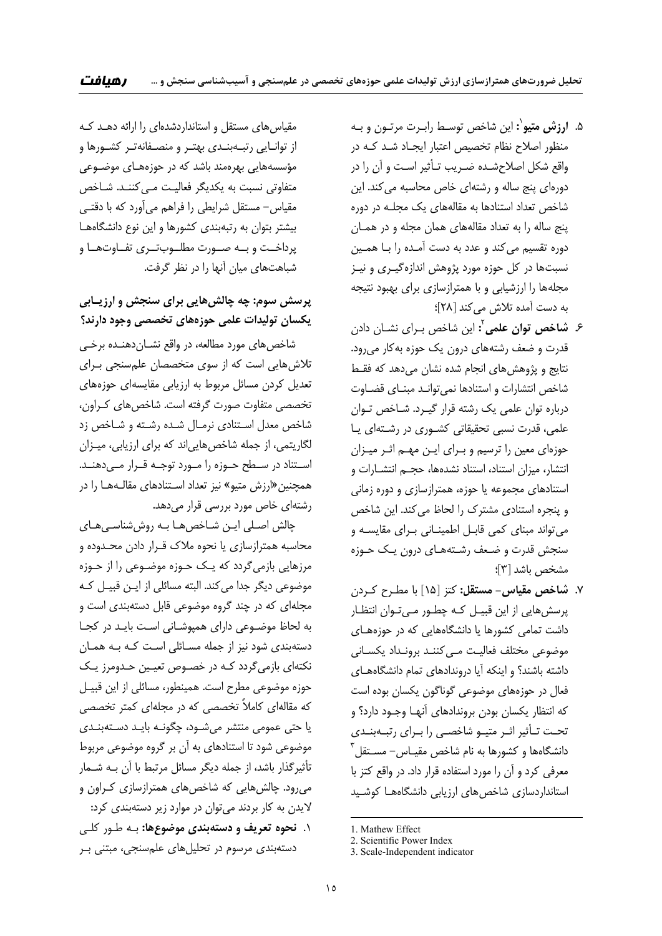- 1 .5 **ارزش متيو :** اين شاخص توسـط رابـرت مرتـون و بـه منظور اصلاح نظام تخصيص اعتبار ايجـاد شـد كـه در واقع شكل اصلاحشـده ضـريب تـأثير اسـت و آن را در دورهاي پنج ساله و رشتهاي خاص محاسبه ميكند. اين شاخص تعداد استنادها به مقالههاي يك مجلـه در دوره پنج ساله را به تعداد مقالههاي همان مجله و در همـان دوره تقسيم ميكند و عدد به دست آمـده را بـا همـين نسبتها در كل حوزه مورد پژوهش اندازهگيـري و نيـز مجلهها را ارزشيابي و با همترازسازي براي بهبود نتيجه به دست آمده تلاش مي كند [٢٨]؛
- **:** اين شاخص بـراي نشـان دادن <sup>2</sup> .6 **شاخص توان علمي** قدرت و ضعف رشتههاي درون يك حوزه بهكار ميرود. نتايج و پژوهشهاي انجام شده نشان ميدهد كه فقـط شاخص انتشارات و استنادها نميتوانـد مبنـاي قضـاوت درباره توان علمي يك رشته قرار گيـرد. شـاخص تـوان علمي، قدرت نسبي تحقيقاتي كشـوري در رشـتهاي يـا حوزهاي معين را ترسيم و بـراي ايـن مهـم اثـر ميـزان انتشار، ميزان استناد، استناد نشدهها، حجـم انتشـارات و استنادهاي مجموعه يا حوزه، همترازسازي و دوره زماني و پنجره استنادي مشترك را لحاظ ميكند. اين شاخص ميتواند مبناي كمي قابـل اطمينـاني بـراي مقايسـه و سنجش قدرت و ضـعف رشـتههـاي درون يـك حـوزه مشخص باشد [3]؛
- .7 **شاخص مقياس- مستقل:** كتز [15] با مطـرح كـردن پرسشهايي از اين قبيـل كـه چطـور مـيتـوان انتظـار داشت تمامي كشورها يا دانشگاههايي كه در حوزههـاي موضوعي مختلف فعاليـت مـي كننـد برونـداد يكسـاني داشته باشند؟ و اينكه آيا دروندادهاي تمام دانشگاههـاي فعال در حوزههاي موضوعي گوناگون يكسان بوده است كه انتظار يكسان بودن بروندادهاي آنهـا وجـود دارد؟ و تحـت تـأثير اثـر متيـو شاخصـي را بـراي رتبـهبنـدي  $^{\rm v}$ دانشگاهها و كشورها به نام شاخص مقيـاس– مسـتقل معرفي كرد و آن را مورد استفاده قرار داد. در واقع كتز با استانداردسازي شاخص هاي ارزيابي دانشگاههـا كوشـيد

مقياسهاي مستقل و استانداردشدهاي را ارائه دهـد كـه از توانـايي رتبـهبنـدي بهتـر و منصـفانهتـر كشـورها و مؤسسههايي بهرهمند باشد كه در حوزههـاي موضـوعي متفاوتي نسبت به يكديگر فعاليـت مـيكننـد. شـاخص مقياس- مستقل شرايطي را فراهم ميآورد كه با دقتـي بيشتر بتوان به رتبهبندي كشورها و اين نوع دانشگاههـا پرداخــت و بــه صــورت مطلــوبتــري تفــاوتهــا و شباهتهاي ميان آنها را در نظر گرفت.

# **پرسش سوم: چه چالشهايي براي سنجش و ارزيـابي يكسان توليدات علمي حوزههاي تخصصي وجود دارند؟**

شاخصهاي مورد مطالعه، در واقع نشـاندهنـده برخـي تلاشهايي است كه از سوي متخصصان علمسنجي بـراي تعديل كردن مسائل مربوط به ارزيابي مقايسهاي حوزههاي تخصصي متفاوت صورت گرفته است. شاخصهاي كـراون، شاخص معدل اسـتنادي نرمـال شـده رشـته و شـاخص زد لگاريتمي، از جمله شاخصهايي اند كه براي ارزيابي، ميـزان اسـتناد در سـطح حـوزه را مـورد توجـه قــرار مــىدهنــد. همچنين«ارزش متيو» نيز تعداد اسـتنادهاي مقالـههـا را در رشتهاي خاص مورد بررسي قرار مي دهد.

چالش اصـلي ايـن شـاخصهـا بـه روششناسـيهـاي محاسبه همترازسازي يا نحوه ملاك قـرار دادن محـدوده و مرزهايي بازميگردد كه يـك حـوزه موضـوعي را از حـوزه موضوعي ديگر جدا ميكند. البته مسائلي از ايـن قبيـل كـه مجلهاي كه در چند گروه موضوعي قابل دستهبندي است و به لحاظ موضـوعي داراي همپوشـاني اسـت بايـد در كجـا دستهبندي شود نيز از جمله مسـائلي اسـت كـه بـه همـان نكتهاي بازميگردد كـه در خصـوص تعيـين حـدومرز يـك حوزه موضوعي مطرح است. همينطور، مسائلي از اين قبيـل كه مقالهاي كاملاً تخصصي كه در مجلهاي كمتر تخصصي يا حتي عمومي منتشر ميشـود، چگونـه بايـد دسـتهبنـدي موضوعي شود تا استنادهاي به آن بر گروه موضوعي مربوط تأثيرگذار باشد، از جمله ديگر مسائل مرتبط با آن بـه شـمار ميرود. چالشهايي كه شاخصهاي همترازسازي كـراون و لايدن به كار بردند ميتوان در موارد زير دستهبندي كرد: .1 **نحوه تعريف و دستهبندي موضوعها:** بـه طـور كلـي دستهبندي مرسوم در تحليلهاي علمسنجي، مبتني بـر

<sup>1.</sup> Mathew Effect

<sup>2.</sup> Scientific Power Index

<sup>3.</sup> Scale-Independent indicator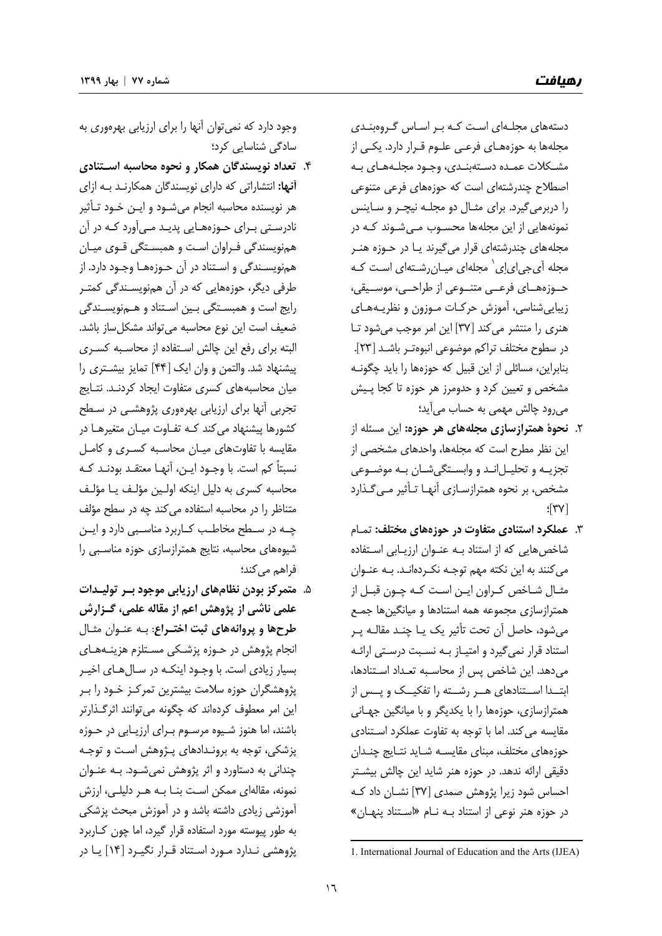دستههاي مجلـهاي اسـت كـه بـر اسـاس گـروهبنـدي مجلهها به حوزههـاي فرعـي علـوم قـرار دارد. يكـي از مشـكلات عمـده دسـتهبنـدي، وجـود مجلـههـاي بـه اصطلاح چندرشتهاي است كه حوزههاي فرعي متنوعي را دربرميگيرد. براي مثـال دو مجلـه نيچـر و سـاينس نمونههايي از اين مجلهها محسـوب مـيشـوند كـه در مجلههاي چندرشتهاي قرار ميگيرند يـا در حـوزه هنـر مجله أي جي|ىإي ` مجلهاي ميـانرشـتهاي اسـت كـه حــوزههــاي فرعــي متنــوعي از طراحــي، موســيقي، زيباييشناسي، آموزش حركـات مـوزون و نظريـههـاي هنري را منتشر ميكند [37] اين امر موجب ميشود تـا در سطوح مختلف تراكم موضوعي انبوهتـر باشـد [23]. بنابراين، مسائلي از اين قبيل كه حوزهها را بايد چگونـه مشخص و تعيين كرد و حدومرز هر حوزه تا كجا پـيش ميرود چالش مهمي به حساب ميآيد؛

- .2 **نحوة همترازسازي مجلههاي هر حوزه:** اين مسئله از اين نظر مطرح است كه مجلهها، واحدهاي مشخصي از تجزيـه و تحليـلانـد و وابسـتگيشـان بـه موضـوعي مشخص، بر نحوه همترازسـازي آنهـا تـأثير مـيگـذارد  $\sqrt{37}$ ؛
- .3 **عملكرد استنادي متفاوت در حوزههاي مختلف:** تمـام شاخصهايي كه از استناد بـه عنـوان ارزيـابي اسـتفاده ميكنند به اين نكته مهم توجـه نكـردهانـد. بـه عنـوان مثـال شـاخص كـراون ايـن اسـت كـه چـون قبـل از همترازسازي مجموعه همه استنادها و ميانگينها جمـع ميشود، حاصل آن تحت تأثير يك يـا چنـد مقالـه پـر استناد قرار نميگيرد و امتيـاز بـه نسـبت درسـتي ارائـه ميدهد. اين شاخص پس از محاسـبه تعـداد اسـتنادها، ابتــدا اســتنادهاي هــر رشــته را تفكيــك و پــس از همترازسازي، حوزهها را با يكديگر و با ميانگين جهـاني مقايسه ميكند. اما با توجه به تفاوت عملكرد اسـتنادي حوزههاي مختلف، مبناي مقايسـه شـايد نتـايج چنـدان دقيقي ارائه ندهد. در حوزه هنر شايد اين چالش بيشـتر احساس شود زيرا پژوهش صمدي [37] نشـان داد كـه در حوزه هنر نوعي از استناد بـه نـام «اسـتناد پنهـان»
- .4 **تعداد نويسندگان همكار و نحوه محاسبه اسـتنادي آنها:** انتشاراتي كه داراي نويسندگان همكارنـد بـه ازاي هر نويسنده محاسبه انجام ميشـود و ايـن خـود تـأثير نادرسـتي بـراي حـوزههـايي پديـد مـيآورد كـه در آن همنويسندگي فـراوان اسـت و همبسـتگي قـوي ميـان همنويسـندگي و اسـتناد در آن حـوزههـا وجـود دارد. از طرفي ديگر، حوزههايي كه در آن همنويسـندگي كمتـر رايج است و همبسـتگي بـين اسـتناد و هـمنويسـندگي ضعيف است اين نوع محاسبه ميتواند مشكلساز باشد. البته براي رفع اين چالش اسـتفاده از محاسـبه كسـري پيشنهاد شد. والتمن و وان ايك [44] تمايز بيشـتري را ميان محاسبههاي كسري متفاوت ايجاد كردنـد. نتـايج تجربي آنها براي ارزيابي بهرهوري پژوهشـي در سـطح كشورها پيشنهاد ميكند كـه تفـاوت ميـان متغيرهـا در مقايسه با تفاوتهاي ميـان محاسـبه كسـري و كامـل نسبتاً كم است. با وجـود ايـن، آنهـا معتقـد بودنـد كـه محاسبه كسري به دليل اينكه اولـين مؤلـف يـا مؤلـف متناظر را در محاسبه استفاده ميكند چه در سطح مؤلف چــه در ســطح مخاطــب كــاربرد مناســبي دارد و ايــن شيوههاي محاسبه، نتايج همترازسازي حوزه مناسـبي را فراهم مي كند؛
- .5 **متمركز بودن نظامهاي ارزيابي موجود بـر توليـدات علمي ناشي از پژوهش اعم از مقاله علمي، گـزارش طرحها و پروانههاي ثبت اختـراع**: بـه عنـوان مثـال انجام پژوهش در حـوزه پزشـكي مسـتلزم هزينـههـاي بسيار زيادي است. با وجـود اينكـه در سـالهـاي اخيـر پژوهشگران حوزه سلامت بيشترين تمركـز خـود را بـر اين امر معطوف كردهاند كه چگونه ميتوانند اثرگـذارتر باشند، اما هنوز شـيوه مرسـوم بـراي ارزيـابي در حـوزه پزشكي، توجه به برونـدادهاي پـژوهش اسـت و توجـه چنداني به دستاورد و اثر پژوهش نميشـود. بـه عنـوان نمونه، مقالهاي ممكن اسـت بنـا بـه هـر دليلـي، ارزش آموزشي زيادي داشته باشد و در آموزش مبحث پزشكي به طور پيوسته مورد استفاده قرار گيرد، اما چون كـاربرد پژوهشي نـدارد مـورد اسـتناد قـرار نگيـرد [ 14] يـا در

وجود دارد كه نميتوان آنها را براي ارزيابي بهرهوري به سادگي شناسايي كرد؛

<sup>&</sup>lt;u> Andrew Maria (1989)</u> 1. International Journal of Education and the Arts (IJEA)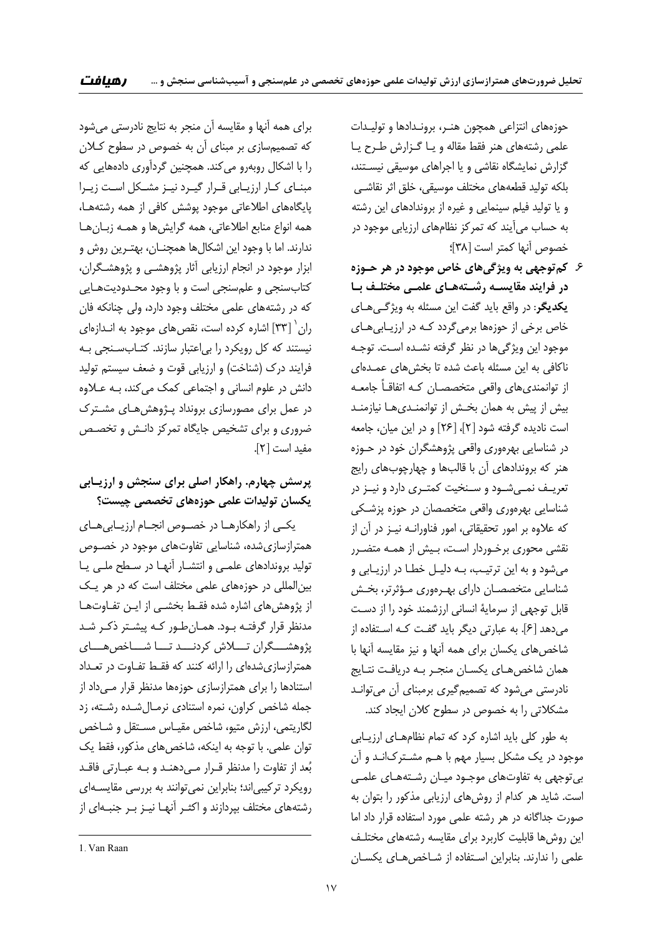حوزههاي انتزاعي همچون هنـر، برونـدادها و توليـدات علمي رشتههاي هنر فقط مقاله و يـا گـزارش طـرح يـا گزارش نمايشگاه نقاشي و يا اجراهاي موسيقي نيسـتند، بلكه توليد قطعههاي مختلف موسيقي، خلق اثر نقاشـي و يا توليد فيلم سينمايي و غيره از بروندادهاي اين رشته به حساب ميآيند كه تمركز نظامهاي ارزيابي موجود در خصوص آنها كمتر است [38]؛

.6 **كمتوجهي به ويژگيهاي خاص موجود در هر حـوزه در فرايند مقايسـه رشـتههـاي علمـي مختلـف بـا يكديگر**: در واقع بايد گفت اين مسئله به ويژگـيهـاي خاص برخي از حوزهها برميگردد كـه در ارزيـابيهـاي موجود اين ويژگيها در نظر گرفته نشـده اسـت. توجـه ناكافي به اين مسئله باعث شده تا بخشهاي عمـدهاي از توانمنديهاي واقعي متخصصـان كـه اتفاقـاً جامعـه بيش از پيش به همان بخـش از توانمنـديهـا نيازمنـد است ناديده گرفته شود [2]، [26] و در اين ميان، جامعه در شناسايي بهرهوري واقعي پژوهشگران خود در حـوزه هنر كه بروندادهاي آن با قالبها و چهارچوبهاي رايج تعريــف نمــيشــود و ســنخيت كمتــري دارد و نيــز در شناسايي بهرهوري واقعي متخصصان در حوزه پزشـكي كه علاوه بر امور تحقيقاتي، امور فناورانـه نيـز در آن از نقشي محوري برخـوردار اسـت، بـيش از همـه متضـرر ميشود و به اين ترتيـب، بـه دليـل خطـا در ارزيـابي و شناسايي متخصصـان داراي بهـرهوري مـؤثرتر، بخـش قابل توجهي از سرماية انساني ارزشمند خود را از دسـت ميدهد [6]. به عبارتي ديگر بايد گفـت كـه اسـتفاده از شاخصهاي يكسان براي همه آنها و نيز مقايسه آنها با همان شاخصهـاي يكسـان منجـر بـه دريافـت نتـايج نادرستي ميشود كه تصميمگيري برمبناي آن ميتوانـد مشكلاتي را به خصوص در سطوح كلان ايجاد كند.

به طور كلي بايد اشاره كرد كه تمام نظامهـاي ارزيـابي موجود در يك مشكل بسيار مهم با هـم مشـتركانـد و آن بيتوجهي به تفاوتهاي موجـود ميـان رشـتههـاي علمـي است. شايد هر كدام از روشهاي ارزيابي مذكور را بتوان به صورت جداگانه در هر رشته علمي مورد استفاده قرار داد اما اين روشها قابليت كاربرد براي مقايسه رشتههاي مختلـف علمي را ندارند. بنابراين اسـتفاده از شـاخصهـاي يكسـان

براي همه آنها و مقايسه آن منجر به نتايج نادرستي ميشود كه تصميمسازي بر مبناي آن به خصوص در سطوح كـلان را با اشكال روبهرو ميكند. همچنين گردآوري دادههايي كه مبنـاي كـار ارزيـابي قـرار گيـرد نيـز مشـكل اسـت زيـرا پايگاههاي اطلاعاتي موجود پوشش كافي از همه رشتههـا، همه انواع منابع اطلاعاتي، همه گرايشها و همـه زبـانهـا ندارند. اما با وجود اين اشكالها همچنـان، بهتـرين روش و ابزار موجود در انجام ارزيابي آثار پژوهشـي و پژوهشـگران، كتابسنجي و علمسنجي است و با وجود محـدوديتهـايي كه در رشتههاي علمي مختلف وجود دارد، ولي چنانكه فان ران  $\lceil \mathfrak{r} \mathfrak{r} \rceil$  اشاره كرده است، نقص هاي موجود به انـدازهاي نيستند كه كل رويكرد را بياعتبار سازند. كتـابسـنجي بـه فرايند درك (شناخت) و ارزيابي قوت و ضعف سيستم توليد دانش در علوم انساني و اجتماعي كمك ميكند، بـه عـلاوه در عمل براي مصورسازي برونداد پـژوهشهـاي مشـترك ضروري و براي تشخيص جايگاه تمركز دانـش و تخصـص مفيد است [2].

# **پرسش چهارم. راهكار اصلي براي سنجش و ارزيـابي يكسان توليدات علمي حوزههاي تخصصي چيست؟**

يكــي از راهكارهــا در خصــوص انجــام ارزيــابيهــاي همترازسازيشده، شناسايي تفاوتهاي موجود در خصـوص توليد بروندادهاي علمـي و انتشـار آنهـا در سـطح ملـي يـا بينالمللي در حوزههاي علمي مختلف است كه در هر يـك از پژوهشهاي اشاره شده فقـط بخشـي از ايـن تفـاوتهـا مدنظر قرار گرفتـه بـود. همـانطـور كـه پيشـتر ذكـر شـد پژوهشـــگران تـــلاش كردنـــد تـــا شـــاخصهـــاي همترازسازيشدهاي را ارائه كنند كه فقـط تفـاوت در تعـداد استنادها را براي همترازسازي حوزهها مدنظر قرار مـي داد از جمله شاخص كراون، نمره استنادي نرمـالشـده رشـته، زد لگاريتمي، ارزش متيو، شاخص مقيـاس مسـتقل و شـاخص توان علمي. با توجه به اينكه، شاخصهاي مذكور، فقط يك بعد از تفاوت را مدنظر قـرار مـيدهنـد و بـه عبـارتي فاقـد رويكرد تركيبياند؛ بنابراين نميتوانند به بررسي مقايسـهاي رشتههاي مختلف بپردازند و اكثـر آنهـا نيـز بـر جنبـهاي از

<u> 1989 - Johann Barn, mars eta bainar eta industrial eta bainarra (h. 1989).</u>

<sup>1</sup>. Van Raan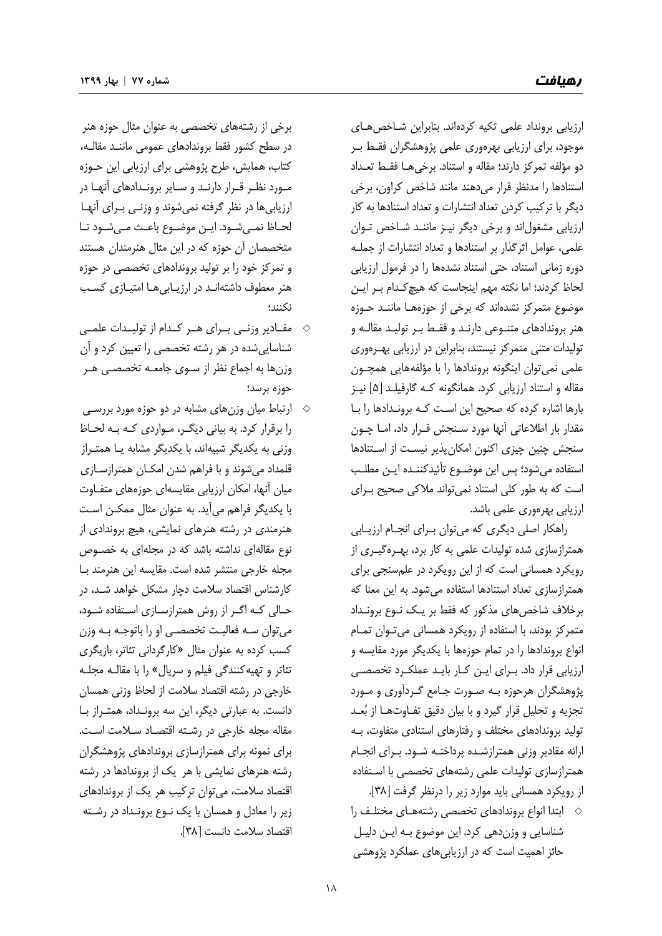ارزيابي برونداد علمي تكيه كردهاند. بنابراين شـاخصهـاي موجود، براي ارزيابي بهرهوري علمي پژوهشگران فقـط بـر دو مؤلفه تمركز دارند؛ مقاله و استناد. برخيهـا فقـط تعـداد استنادها را مدنظر قرار ميدهند مانند شاخص كراون، برخي ديگر با تركيب كردن تعداد انتشارات و تعداد استنادها به كار ارزيابي مشغولاند و برخي ديگر نيـز ماننـد شـاخص تـوان علمي، عوامل اثرگذار بر استنادها و تعداد انتشارات از جملـه دوره زماني استناد، حتي استناد نشدهها را در فرمول ارزيابي لحاظ كردند؛ اما نكته مهم اينجاست كه هيچكـدام بـر ايـن موضوع متمركز نشدهاند كه برخي از حوزههـا ماننـد حـوزه هنر بروندادهاي متنـوعي دارنـد و فقـط بـر توليـد مقالـه و توليدات متني متمركز نيستند، بنابراين در ارزيابي بهـرهوري علمي نميتوان اينگونه بروندادها را با مؤلفههايي همچـون مقاله و استناد ارزيابي كرد. همانگونه كـه گارفيلـد [5] نيـز بارها اشاره كرده كه صحيح اين اسـت كـه برونـدادها را بـا مقدار بار اطلاعاتي آنها مورد سـنجش قـرار داد، امـا چـون سنجش چنين چيزي اكنون امكانپذير نيسـت از اسـتنادها استفاده ميشود؛ پس اين موضـوع تأئيدكننـده ايـن مطلـب است كه به طور كلي استناد نميتواند ملاكي صحيح بـراي ارزيابي بهرهوري علمي باشد.

راهكار اصلي ديگري كه ميتوان بـراي انجـام ارزيـابي همترازسازي شده توليدات علمي به كار برد، بهـرهگيـري از رويكرد همساني است كه از اين رويكرد در علمسنجي براي همترازسازي تعداد استنادها استفاده ميشود. به اين معنا كه برخلاف شاخصهاي مذكور كه فقط بر يـك نـوع برونـداد متمركز بودند، با استفاده از رويكرد همساني ميتـوان تمـام انواع بروندادها را در تمام حوزهها با يكديگر مورد مقايسه و ارزيابي قرار داد. بـراي ايـن كـار بايـد عملكـرد تخصصـي پژوهشگران هرحوزه بـه صـورت جـامع گـردآوري و مـورد تجزيه و تحليل قرار گيرد و با بيان دقيق تفـاوتهـا از بعـد توليد بروندادهاي مختلف و رفتارهاي استنادي متفاوت، بـه ارائه مقادير وزني همترازشـده پرداختـه شـود. بـراي انجـام همترازسازي توليدات علمي رشتههاي تخصصي با اسـتفاده از رويكرد همساني بايد موارد زير را درنظر گرفت [38].

 ابتدا انواع بروندادهاي تخصصي رشتههـاي مختلـف را شناسايي و وزندهي كرد. اين موضوع بـه ايـن دليـل حائز اهميت است كه در ارزيابيهاي عملكرد پژوهشي

برخي از رشتههاي تخصصي به عنوان مثال حوزه هنر در سطح كشور فقط بروندادهاي عمومي ماننـد مقالـه، كتاب، همايش، طرح پژوهشي براي ارزيابي اين حـوزه مـورد نظـر قـرار دارنـد و سـاير برونـدادهاي آنهـا در ارزيابيها در نظر گرفته نميشوند و وزنـي بـراي آنهـا لحـاظ نمـيشـود. ايـن موضـوع باعـث مـيشـود تـا متخصصان آن حوزه كه در اين مثال هنرمندان هستند و تمركز خود را بر توليد بروندادهاي تخصصي در حوزه هنر معطوف داشتهانـد در ارزيـابيهـا امتيـازي كسـب نكنند؛

- مقــادير وزنــي بــراي هــر كــدام از توليــدات علمــي شناساييشده در هر رشته تخصصي را تعيين كرد و آن وزنها به اجماع نظر از سـوي جامعـه تخصصـي هـر حوزه برسد؛
- ارتباط ميان وزنهاي مشابه در دو حوزه مورد بررسـي  $\Diamond$ را برقرار كرد. به بياني ديگـر، مـواردي كـه بـه لحـاظ وزني به يكديگر شبيهاند، با يكديگر مشابه يـا همتـراز قلمداد ميشوند و با فراهم شدن امكـان همترازسـازي ميان آنها، امكان ارزيابي مقايسهاي حوزههاي متفـاوت با يكديگر فراهم ميآيد. به عنوان مثال ممكـن اسـت هنرمندي در رشته هنرهاي نمايشي، هيچ بروندادي از نوع مقالهاي نداشته باشد كه در مجلهاي به خصـوص مجله خارجي منتشر شده است. مقايسه اين هنرمند بـا كارشناس اقتصاد سلامت دچار مشكل خواهد شـد، در حـالي كـه اگـر از روش همترازسـازي اسـتفاده شـود، ميتوان سـه فعاليـت تخصصـي او را باتوجـه بـه وزن كسب كرده به عنوان مثال «كارگرداني تئاتر، بازيگري تئاتر و تهيهكنندگي فيلم و سريال» را با مقالـه مجلـه خارجي در رشته اقتصاد سلامت از لحاظ وزني همسان دانست. به عبارتي ديگر، اين سه برونـداد، همتـراز بـا مقاله مجله خارجي در رشـته اقتصـاد سـلامت اسـت. براي نمونه براي همترازسازي بروندادهاي پژوهشگران رشته هنرهاي نمايشي با هر يك از بروندادها در رشته اقتصاد سلامت، ميتوان تركيب هر يك از بروندادهاي زير را معادل و همسان با يك نـوع برونـداد در رشـته اقتصاد سلامت دانست [38].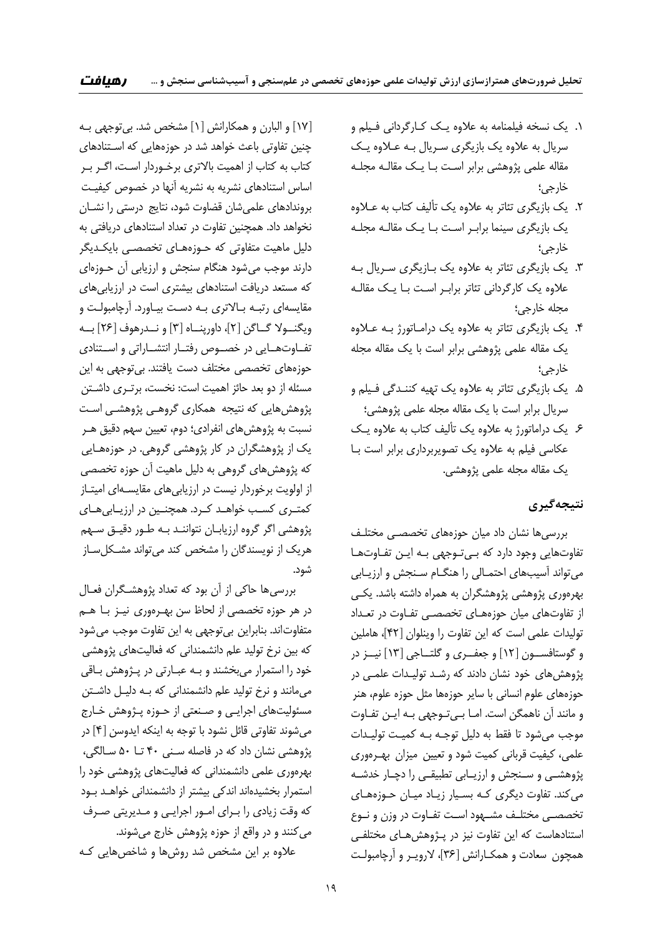- .1 يك نسخه فيلمنامه به علاوه يـك كـارگرداني فـيلم و سريال به علاوه يك بازيگري سـريال بـه عـلاوه يـك مقاله علمي پژوهشي برابر اسـت بـا يـك مقالـه مجلـه خارجي؛
- .2 يك بازيگري تئاتر به علاوه يك تأليف كتاب به عـلاوه يك بازيگري سينما برابـر اسـت بـا يـك مقالـه مجلـه خارجي؛
- .3 يك بازيگري تئاتر به علاوه يك بـازيگري سـريال بـه علاوه يك كارگرداني تئاتر برابـر اسـت بـا يـك مقالـه مجله خارجي؛
- .4 يك بازيگري تئاتر به علاوه يك درامـاتورژ بـه عـلاوه يك مقاله علمي پژوهشي برابر است با يك مقاله مجله خارجي؛
- .5 يك بازيگري تئاتر به علاوه يك تهيه كننـدگي فـيلم و سريال برابر است با يك مقاله مجله علمي پژوهشي؛
- .6 يك دراماتورژ به علاوه يك تأليف كتاب به علاوه يـك عكاسي فيلم به علاوه يك تصويربرداري برابر است بـا يك مقاله مجله علمي پژوهشي.

#### **نتيجهگيري**

بررسيها نشان داد ميان حوزههاي تخصصـي مختلـف تفاوتهايي وجود دارد كه بـيتـوجهي بـه ايـن تفـاوتهـا ميتواند آسيبهاي احتمـالي را هنگـام سـنجش و ارزيـابي بهرهوري پژوهشي پژوهشگران به همراه داشته باشد. يكـي از تفاوتهاي ميان حوزههـاي تخصصـي تفـاوت در تعـداد توليدات علمي است كه اين تفاوت را وينلوان [42]، هاملين و گوستافســون [12] و جعفــري و گلتــاجي [13] نيــز در پژوهشهاي خود نشان دادند كه رشـد توليـدات علمـي در حوزههاي علوم انساني با ساير حوزهها مثل حوزه علوم، هنر و مانند آن ناهمگن است. امـا بـيتـوجهي بـه ايـن تفـاوت موجب ميشود تا فقط به دليل توجـه بـه كميـت توليـدات علمي، كيفيت قرباني كميت شود و تعيين ميزان بهـرهوري پژوهشـي و سـنجش و ارزيـابي تطبيقـي را دچـار خدشـه ميكند. تفاوت ديگري كـه بسـيار زيـاد ميـان حـوزههـاي تخصصـي مختلـف مشـهود اسـت تفـاوت در وزن و نـوع استنادهاست كه اين تفاوت نيز در پـژوهشهـاي مختلفـي همچون سعادت و همكـارانش [36]، لارويـر و آرچامبولـت

[17] و البارن و همكارانش [1] مشخص شد. بيتوجهي بـه چنين تفاوتي باعث خواهد شد در حوزههايي كه اسـتنادهاي كتاب به كتاب از اهميت بالاتري برخـوردار اسـت، اگـر بـر اساس استنادهاي نشريه به نشريه آنها در خصوص كيفيـت بروندادهاي علميشان قضاوت شود، نتايج درستي را نشـان نخواهد داد. همچنين تفاوت در تعداد استنادهاي دريافتي به دليل ماهيت متفاوتي كه حـوزههـاي تخصصـي بايكـديگر دارند موجب ميشود هنگام سنجش و ارزيابي آن حـوزهاي كه مستعد دريافت استنادهاي بيشتري است در ارزيابيهاي مقايسهاي رتبـه بـالاتري بـه دسـت بيـاورد. آرچامبولـت و ويگنــولا گــاگن [2]، داورپنــاه [3] و نــدرهوف [26] بــه تفــاوتهــايي در خصــوص رفتــار انتشــاراتي و اســتنادي حوزههاي تخصصي مختلف دست يافتند. بيتوجهي به اين مسئله از دو بعد حائز اهميت است: نخست، برتـري داشـتن پژوهشهايي كه نتيجه همكاري گروهـي پژوهشـي اسـت نسبت به پژوهشهاي انفرادي؛ دوم، تعيين سهم دقيق هـر يك از پژوهشگران در كار پژوهشي گروهي. در حوزههـايي كه پژوهشهاي گروهي به دليل ماهيت آن حوزه تخصصي از اولويت برخوردار نيست در ارزيابيهاي مقايسـهاي اميتـاز كمتـري كسـب خواهـد كـرد. همچنـين در ارزيـابيهـاي پژوهشي اگر گروه ارزيابـان نتواننـد بـه طـور دقيـق سـهم هريك از نويسندگان را مشخص كند ميتواند مشـكلسـاز شود.

بررسيها حاكي از آن بود كه تعداد پژوهشـگران فعـال در هر حوزه تخصصي از لحاظ سن بهـرهوري نيـز بـا هـم متفاوتاند. بنابراين بيتوجهي به اين تفاوت موجب ميشود كه بين نرخ توليد علم دانشمنداني كه فعاليتهاي پژوهشي خود را استمرار ميبخشند و بـه عبـارتي در پـژوهش بـاقي ميمانند و نرخ توليد علم دانشمنداني كه بـه دليـل داشـتن مسئوليتهاي اجرايـي و صـنعتي از حـوزه پـژوهش خـارج ميشوند تفاوتي قائل نشود با توجه به اينكه ايدوسن [4] در پژوهشي نشان داد كه در فاصله سـني 40 تـا 50 سـالگي، بهرهوري علمي دانشمنداني كه فعاليتهاي پژوهشي خود را استمرار بخشيدهاند اندكي بيشتر از دانشمنداني خواهـد بـود كه وقت زيادي را بـراي امـور اجرايـي و مـديريتي صـرف ميكنند و در واقع از حوزه پژوهش خارج ميشوند. علاوه بر اين مشخص شد روشها و شاخصهايي كـه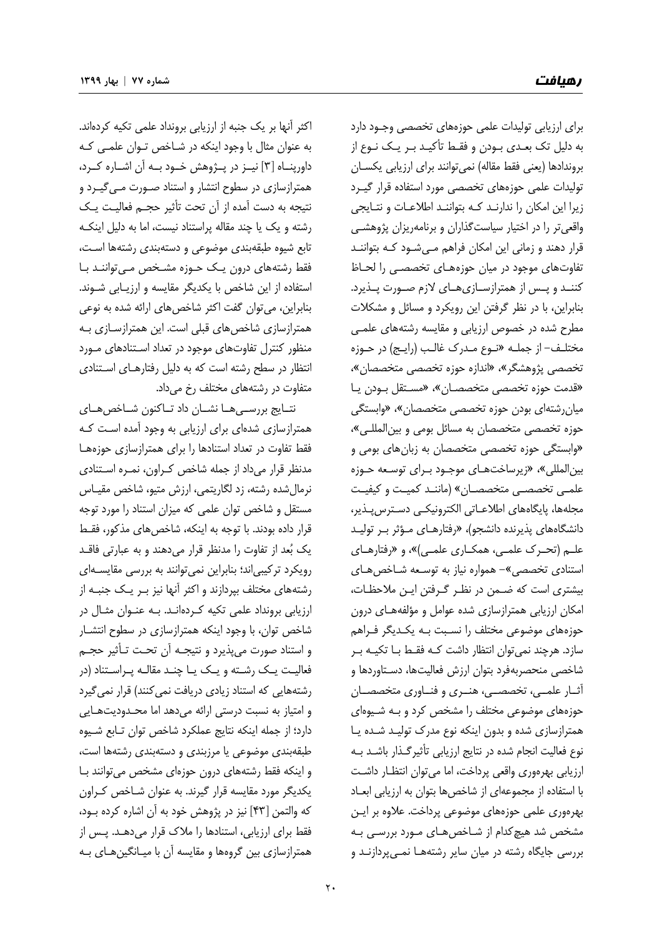براي ارزيابي توليدات علمي حوزههاي تخصصي وجـود دارد به دليل تك بعـدي بـودن و فقـط تأكيـد بـر يـك نـوع از بروندادها (يعني فقط مقاله) نميتوانند براي ارزيابي يكسـان توليدات علمي حوزههاي تخصصي مورد استفاده قرار گيـرد زيرا اين امكان را ندارنـد كـه بتواننـد اطلاعـات و نتـايجي واقعيتر را در اختيار سياستگذاران و برنامهريزان پژوهشـي قرار دهند و زماني اين امكان فراهم مـيشـود كـه بتواننـد تفاوتهاي موجود در ميان حوزههـاي تخصصـي را لحـاظ كننــد و پــس از همترازســازيهــاي لازم صــورت پــذيرد. بنابراين، با در نظر گرفتن اين رويكرد و مسائل و مشكلات مطرح شده در خصوص ارزيابي و مقايسه رشتههاي علمـي مختلـف- از جملـه «نـوع مـدرك غالـب (رايـج) در حـوزه تخصصي پژوهشگر»، «اندازه حوزه تخصصي متخصصان»، «قدمت حوزه تخصصي متخصصـان»، «مسـتقل بـودن يـا ميانرشتهاي بودن حوزه تخصصي متخصصان»، «وابستگي حوزه تخصصي متخصصان به مسائل بومي و بينالمللـي»، «وابستگي حوزه تخصصي متخصصان به زبانهاي بومي و بينالمللي»، «زيرساختهـاي موجـود بـراي توسـعه حـوزه علمـي تخصصـي متخصصـان» (ماننـد كميـت و كيفيـت مجلهها، پايگاههاي اطلاعـاتي الكترونيكـي دسـترسپـذير، دانشگاههاي پذيرنده دانشجو)، «رفتارهـاي مـؤثر بـر توليـد علـم (تحـرك علمـي، همكـاري علمـي)»، و «رفتارهـاي استنادي تخصصي»- همواره نياز به توسـعه شـاخصهـاي بيشتري است كه ضـمن در نظـر گـرفتن ايـن ملاحظـات، امكان ارزيابي همترازسازي شده عوامل و مؤلفههـاي درون حوزههاي موضوعي مختلف را نسـبت بـه يكـديگر فـراهم سازد. هرچند نميتوان انتظار داشت كـه فقـط بـا تكيـه بـر شاخصي منحصربهفرد بتوان ارزش فعاليتها، دسـتاوردها و آثــار علمــي، تخصصــي، هنــري و فنــاوري متخصصــان حوزههاي موضوعي مختلف را مشخص كرد و بـه شـيوهاي همترازسازي شده و بدون اينكه نوع مدرك توليـد شـده يـا نوع فعاليت انجام شده در نتايج ارزيابي تأثيرگـذار باشـد بـه ارزيابي بهرهوري واقعي پرداخت، اما ميتوان انتظـار داشـت با استفاده از مجموعهاي از شاخصها بتوان به ارزيابي ابعـاد بهرهوري علمي حوزههاي موضوعي پرداخت. علاوه بر ايـن مشخص شد هيچكدام از شـاخصهـاي مـورد بررسـي بـه بررسي جايگاه رشته در ميان ساير رشتههـا نمـيپردازنـد و

اكثر آنها بر يك جنبه از ارزيابي برونداد علمي تكيه كردهاند. به عنوان مثال با وجود اينكه در شـاخص تـوان علمـي كـه داورپنــاه [3] نيــز در پــژوهش خــود بــه آن اشــاره كــرد، همترازسازي در سطوح انتشار و استناد صـورت مـيگيـرد و نتيجه به دست آمده از آن تحت تأثير حجـم فعاليـت يـك رشته و يك يا چند مقاله پراستناد نيست، اما به دليل اينكـه تابع شيوه طبقهبندي موضوعي و دستهبندي رشتهها اسـت، فقط رشتههاي درون يـك حـوزه مشـخص مـيتواننـد بـا استفاده از اين شاخص با يكديگر مقايسه و ارزيـابي شـوند. بنابراين، ميتوان گفت اكثر شاخصهاي ارائه شده به نوعي همترازسازي شاخصهاي قبلي است. اين همترازسـازي بـه منظور كنترل تفاوتهاي موجود در تعداد اسـتنادهاي مـورد انتظار در سطح رشته است كه به دليل رفتارهـاي اسـتنادي متفاوت در رشتههاي مختلف رخ ميداد.

نتــايج بررســيهــا نشــان داد تــاكنون شــاخصهــاي همترازسازي شدهاي براي ارزيابي به وجود آمده اسـت كـه فقط تفاوت در تعداد استنادها را براي همترازسازي حوزههـا مدنظر قرار ميداد از جمله شاخص كـراون، نمـره اسـتنادي نرمالشده رشته، زد لگاريتمي، ارزش متيو، شاخص مقيـاس مستقل و شاخص توان علمي كه ميزان استناد را مورد توجه قرار داده بودند. با توجه به اينكه، شاخص هاي مذكور، فقـط يك بعد از تفاوت را مدنظر قرار ميدهند و به عبارتي فاقـد رويكرد تركيبياند؛ بنابراين نميتوانند به بررسي مقايسـهاي رشتههاي مختلف بپردازند و اكثر آنها نيز بـر يـك جنبـه از ارزيابي برونداد علمي تكيه كـردهانـد. بـه عنـوان مثـال در شاخص توان، با وجود اينكه همترازسازي در سطوح انتشـار و استناد صورت ميپذيرد و نتيجـه آن تحـت تـأثير حجـم فعاليـت يـك رشـته و يـك يـا چنـد مقالـه پـراسـتناد (در رشتههايي كه استناد زيادي دريافت نميكنند) قرار نميگيرد و امتياز به نسبت درستي ارائه ميدهد اما محـدوديتهـايي دارد؛ از جمله اينكه نتايج عملكرد شاخص توان تـابع شـيوه طبقهبندي موضوعي يا مرزبندي و دستهبندي رشتهها است، و اينكه فقط رشتههاي درون حوزهاي مشخص ميتوانند بـا يكديگر مورد مقايسه قرار گيرند. به عنوان شـاخص كـراون كه والتمن [43] نيز در پژوهش خود به آن اشاره كرده بـود، فقط براي ارزيابي، استنادها را ملاك قرار ميدهـد. پـس از همترازسازي بين گروهها و مقايسه آن با ميـانگينهـاي بـه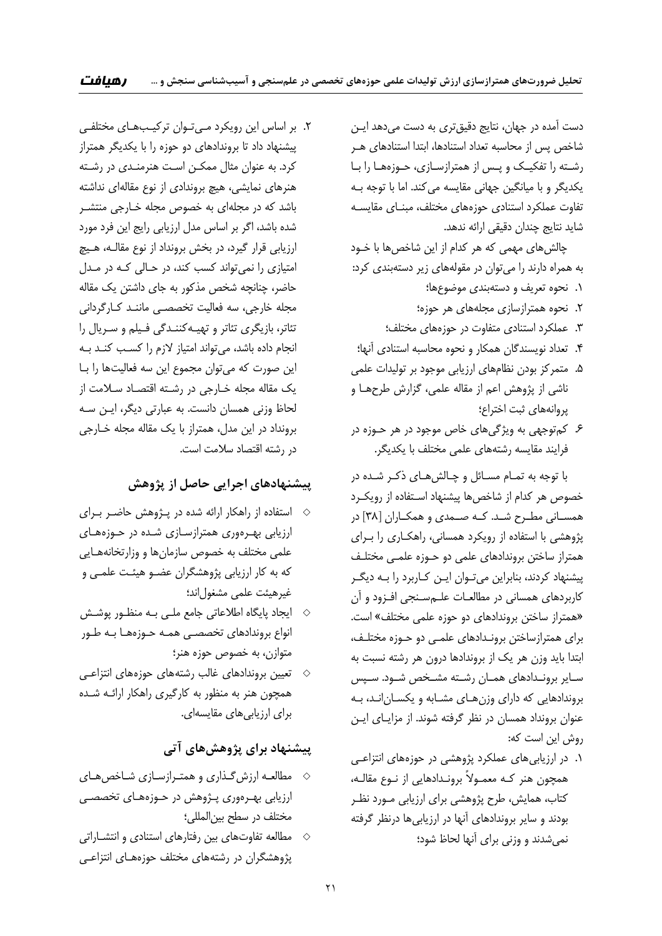دست آمده در جهان، نتايج دقيقتري به دست ميدهد ايـن شاخص پس از محاسبه تعداد استنادها، ابتدا استنادهاي هـر رشـته را تفكيـك و پـس از همترازسـازي، حـوزههـا را بـا يكديگر و با ميانگين جهاني مقايسه ميكند. اما با توجه بـه تفاوت عملكرد استنادي حوزههاي مختلف، مبنـاي مقايسـه شايد نتايج چندان دقيقي ارائه ندهد.

چالشهاي مهمي كه هر كدام از اين شاخصها با خـود به همراه دارند را ميتوان در مقولههاي زير دستهبندي كرد:

- .1 نحوه تعريف و دستهبندي موضوعها؛
- .2 نحوه همترازسازي مجلههاي هر حوزه؛
- .3 عملكرد استنادي متفاوت در حوزههاي مختلف؛
- .4 تعداد نويسندگان همكار و نحوه محاسبه استنادي آنها؛
- .5 متمركز بودن نظامهاي ارزيابي موجود بر توليدات علمي ناشي از پژوهش اعم از مقاله علمي، گزارش طرحهـا و پروانههاي ثبت اختراع؛
- .6 كمتوجهي به ويژگيهاي خاص موجود در هر حـوزه در فرايند مقايسه رشتههاي علمي مختلف با يكديگر.

با توجه به تمـام مسـائل و چـالشهـاي ذكـر شـده در خصوص هر كدام از شاخصها پيشنهاد اسـتفاده از رويكـرد همســاني مطــرح شــد. كــه صــمدي و همكــاران [ 38] در پژوهشي با استفاده از رويكرد همساني، راهكـاري را بـراي همتراز ساختن بروندادهاي علمي دو حـوزه علمـي مختلـف پيشنهاد كردند، بنابراين ميتـوان ايـن كـاربرد را بـه ديگـر كاربردهاي همساني در مطالعـات علـمسـنجي افـزود و آن «همتراز ساختن بروندادهاي دو حوزه علمي مختلف» است. براي همترازساختن برونـدادهاي علمـي دو حـوزه مختلـف، ابتدا بايد وزن هر يك از بروندادها درون هر رشته نسبت به سـاير برونـدادهاي همـان رشـته مشـخص شـود. سـپس بروندادهايي كه داراي وزنهـاي مشـابه و يكسـانانـد، بـه عنوان برونداد همسان در نظر گرفته شوند. از مزايـاي ايـن روش اين است كه:

.1 در ارزيابيهاي عملكرد پژوهشي در حوزههاي انتزاعـي همچون هنر كـه معمـولاً برونـدادهايي از نـوع مقالـه، كتاب، همايش، طرح پژوهشي براي ارزيابي مـورد نظـر بودند و ساير بروندادهاي آنها در ارزيابيها درنظر گرفته نميشدند و وزني براي آنها لحاظ شود؛

.2 بر اساس اين رويكرد مـيتـوان تركيـبهـاي مختلفـي پيشنهاد داد تا بروندادهاي دو حوزه را با يكديگر همتراز كرد. به عنوان مثال ممكـن اسـت هنرمنـدي در رشـته هنرهاي نمايشي، هيچ بروندادي از نوع مقالهاي نداشته باشد كه در مجلهاي به خصوص مجله خـارجي منتشـر شده باشد، اگر بر اساس مدل ارزيابي رايج اين فرد مورد ارزيابي قرار گيرد، در بخش برونداد از نوع مقالـه، هـيچ امتيازي را نميتواند كسب كند، در حـالي كـه در مـدل حاضر، چنانچه شخص مذكور به جاي داشتن يك مقاله مجله خارجي، سه فعاليت تخصصـي ماننـد كـارگرداني تئاتر، بازيگري تئاتر و تهيـهكننـدگي فـيلم و سـريال را انجام داده باشد، ميتواند امتياز لازم را كسـب كنـد بـه اين صورت كه ميتوان مجموع اين سه فعاليتها را بـا يك مقاله مجله خـارجي در رشـته اقتصـاد سـلامت از لحاظ وزني همسان دانست. به عبارتي ديگر، ايـن سـه برونداد در اين مدل، همتراز با يك مقاله مجله خـارجي در رشته اقتصاد سلامت است.

# **پيشنهادهاي اجرايي حاصل از پژوهش**

- استفاده از راهكار ارائه شده در پـژوهش حاضـر بـراي ارزيابي بهـرهوري همترازسـازي شـده در حـوزههـاي علمي مختلف به خصوص سازمانها و وزارتخانههـايي كه به كار ارزيابي پژوهشگران عضـو هيئـت علمـي و غيرهيئت علمي مشغول اند؛
- ايجاد پايگاه اطلاعاتي جامع ملـي بـه منظـور پوشـش  $\diamond$ انواع بروندادهاي تخصصـي همـه حـوزههـا بـه طـور متوازن، به خصوص حوزه هنر؛
- تعيين بروندادهاي غالب رشتههاي حوزههاي انتزاعـي همچون هنر به منظور به كارگيري راهكار ارائـه شـده براي ارزيابي هاي مقايسهاي.

## **پيشنهاد براي پژوهشهاي آتي**

- مطالعـه ارزشگـذاري و همتـرازسـازي شـاخصهـاي ارزيابي بهـرهوري پـژوهش در حـوزههـاي تخصصـي مختلف در سطح بينالمللي؛
- مطالعه تفاوتهاي بين رفتارهاي استنادي و انتشـاراتي  $\diamond$ پژوهشگران در رشتههاي مختلف حوزههـاي انتزاعـي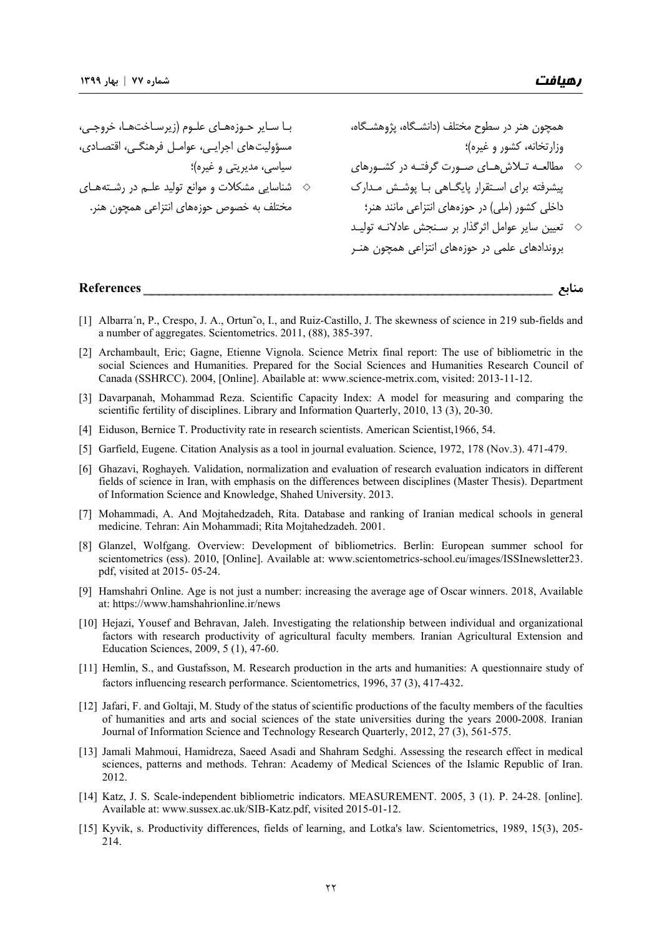همچون هنر در سطوح مختلف (دانشـگاه، پژوهشـگاه، وزارتخانه، كشور و غيره)؛ مطالعــه تــلاشهــاي صــورت گرفتــه در كشــورهاي پيشرفته براي اسـتقرار پايگـاهي بـا پوشـش مـدارك داخلي كشور (ملي) در حوزههاي انتزاعي مانند هنر؛ تعيين ساير عوامل اثرگذار بر سـنجش عادلانـه توليـد بروندادهاي علمي در حوزههاي انتزاعي همچون هنـر بـا سـاير حـوزههـاي علـوم (زيرسـاختهـا، خروجـي، مسؤوليتهاي اجرايـي، عوامـل فرهنگـي، اقتصـادي، سياسي، مديريتي و غيره)؛ شناسايي مشكلات و موانع توليد علـم در رشـتههـاي مختلف به خصوص حوزههاي انتزاعي همچون هنر.

#### **منابع** \_\_\_\_\_\_\_\_\_\_\_\_\_\_\_\_\_\_\_\_\_\_\_\_\_\_\_\_\_\_\_\_ \_\_\_\_\_\_\_\_\_\_\_\_\_\_\_\_\_\_\_\_\_\_\_\_ **References**

- [1] Albarra´n, P., Crespo, J. A., Ortun~o, I., and Ruiz-Castillo, J. The skewness of science in 219 sub-fields and a number of aggregates. Scientometrics. 2011, (88), 385-397.
- [2] Archambault, Eric; Gagne, Etienne Vignola. Science Metrix final report: The use of bibliometric in the social Sciences and Humanities. Prepared for the Social Sciences and Humanities Research Council of Canada (SSHRCC). 2004, [Online]. Abailable at: www.science-metrix.com, visited: 2013-11-12.
- [3] Davarpanah, Mohammad Reza. Scientific Capacity Index: A model for measuring and comparing the scientific fertility of disciplines. Library and Information Quarterly, 2010, 13 (3), 20-30.
- [4] Eiduson, Bernice T. Productivity rate in research scientists. American Scientist,1966, 54.
- [5] Garfield, Eugene. Citation Analysis as a tool in journal evaluation. Science, 1972, 178 (Nov.3). 471-479.
- [6] Ghazavi, Roghayeh. Validation, normalization and evaluation of research evaluation indicators in different fields of science in Iran, with emphasis on the differences between disciplines (Master Thesis). Department of Information Science and Knowledge, Shahed University. 2013.
- [7] Mohammadi, A. And Mojtahedzadeh, Rita. Database and ranking of Iranian medical schools in general medicine. Tehran: Ain Mohammadi; Rita Mojtahedzadeh. 2001.
- [8] Glanzel, Wolfgang. Overview: Development of bibliometrics. Berlin: European summer school for scientometrics (ess). 2010, [Online]. Available at: www.scientometrics-school.eu/images/ISSInewsletter23. pdf, visited at 2015- 05-24.
- [9] Hamshahri Online. Age is not just a number: increasing the average age of Oscar winners. 2018, Available at: https://www.hamshahrionline.ir/news
- [10] Hejazi, Yousef and Behravan, Jaleh. Investigating the relationship between individual and organizational factors with research productivity of agricultural faculty members. Iranian Agricultural Extension and Education Sciences, 2009, 5 (1), 47-60.
- [11] Hemlin, S., and Gustafsson, M. Research production in the arts and humanities: A questionnaire study of factors influencing research performance. Scientometrics, 1996, 37 (3), 417-432.
- [12] Jafari, F. and Goltaji, M. Study of the status of scientific productions of the faculty members of the faculties of humanities and arts and social sciences of the state universities during the years 2000-2008. Iranian Journal of Information Science and Technology Research Quarterly, 2012, 27 (3), 561-575.
- [13] Jamali Mahmoui, Hamidreza, Saeed Asadi and Shahram Sedghi. Assessing the research effect in medical sciences, patterns and methods. Tehran: Academy of Medical Sciences of the Islamic Republic of Iran. 2012.
- [14] Katz, J. S. Scale-independent bibliometric indicators. MEASUREMENT. 2005, 3 (1). P. 24-28. [online]. Available at: www.sussex.ac.uk/SIB-Katz.pdf, visited 2015-01-12.
- [15] Kyvik, s. Productivity differences, fields of learning, and Lotka's law. Scientometrics, 1989, 15(3), 205- 214.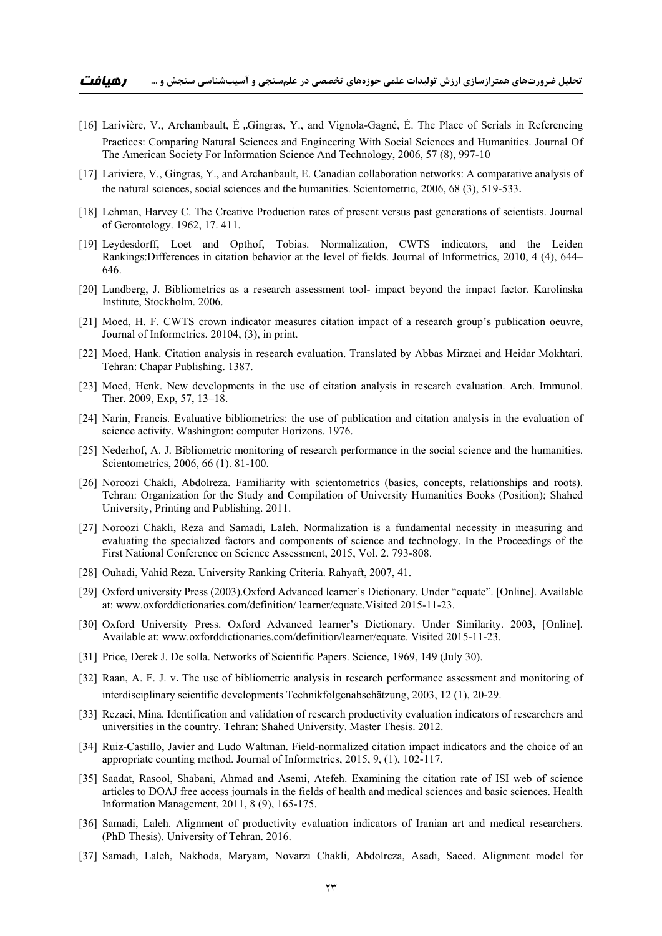- [16] Larivière, V., Archambault, É ,.Gingras, Y., and Vignola-Gagné, É. The Place of Serials in Referencing Practices: Comparing Natural Sciences and Engineering With Social Sciences and Humanities. Journal Of The American Society For Information Science And Technology, 2006, 57 (8), 997-10
- [17] Lariviere, V., Gingras, Y., and Archanbault, E. Canadian collaboration networks: A comparative analysis of the natural sciences, social sciences and the humanities. Scientometric, 2006, 68 (3), 519-533.
- [18] Lehman, Harvey C. The Creative Production rates of present versus past generations of scientists. Journal of Gerontology. 1962, 17. 411.
- [19] Leydesdorff, Loet and Opthof, Tobias. Normalization, CWTS indicators, and the Leiden Rankings:Differences in citation behavior at the level of fields. Journal of Informetrics, 2010, 4 (4), 644– 646.
- [20] Lundberg, J. Bibliometrics as a research assessment tool- impact beyond the impact factor. Karolinska Institute, Stockholm. 2006.
- [21] Moed, H. F. CWTS crown indicator measures citation impact of a research group's publication oeuvre, Journal of Informetrics. 20104, (3), in print.
- [22] Moed, Hank. Citation analysis in research evaluation. Translated by Abbas Mirzaei and Heidar Mokhtari. Tehran: Chapar Publishing. 1387.
- [23] Moed, Henk. New developments in the use of citation analysis in research evaluation. Arch. Immunol. Ther. 2009, Exp, 57, 13–18.
- [24] Narin, Francis. Evaluative bibliometrics: the use of publication and citation analysis in the evaluation of science activity. Washington: computer Horizons. 1976.
- [25] Nederhof, A. J. Bibliometric monitoring of research performance in the social science and the humanities. Scientometrics, 2006, 66 (1). 81-100.
- [26] Noroozi Chakli, Abdolreza. Familiarity with scientometrics (basics, concepts, relationships and roots). Tehran: Organization for the Study and Compilation of University Humanities Books (Position); Shahed University, Printing and Publishing. 2011.
- [27] Noroozi Chakli, Reza and Samadi, Laleh. Normalization is a fundamental necessity in measuring and evaluating the specialized factors and components of science and technology. In the Proceedings of the First National Conference on Science Assessment, 2015, Vol. 2. 793-808.
- [28] Ouhadi, Vahid Reza. University Ranking Criteria. Rahyaft, 2007, 41.
- [29] Oxford university Press (2003).Oxford Advanced learner's Dictionary. Under "equate". [Online]. Available at: www.oxforddictionaries.com/definition/ learner/equate.Visited 2015-11-23.
- [30] Oxford University Press. Oxford Advanced learner's Dictionary. Under Similarity. 2003, [Online]. Available at: www.oxforddictionaries.com/definition/learner/equate. Visited 2015-11-23.
- [31] Price, Derek J. De solla. Networks of Scientific Papers. Science, 1969, 149 (July 30).
- [32] Raan, A. F. J. v. The use of bibliometric analysis in research performance assessment and monitoring of interdisciplinary scientific developments Technikfolgenabschätzung, 2003, 12 (1), 20-29.
- [33] Rezaei, Mina. Identification and validation of research productivity evaluation indicators of researchers and universities in the country. Tehran: Shahed University. Master Thesis. 2012.
- [34] Ruiz-Castillo, Javier and Ludo Waltman. Field-normalized citation impact indicators and the choice of an appropriate counting method. Journal of Informetrics, 2015, 9, (1), 102-117.
- [35] Saadat, Rasool, Shabani, Ahmad and Asemi, Atefeh. Examining the citation rate of ISI web of science articles to DOAJ free access journals in the fields of health and medical sciences and basic sciences. Health Information Management, 2011, 8 (9), 165-175.
- [36] Samadi, Laleh. Alignment of productivity evaluation indicators of Iranian art and medical researchers. (PhD Thesis). University of Tehran. 2016.
- [37] Samadi, Laleh, Nakhoda, Maryam, Novarzi Chakli, Abdolreza, Asadi, Saeed. Alignment model for